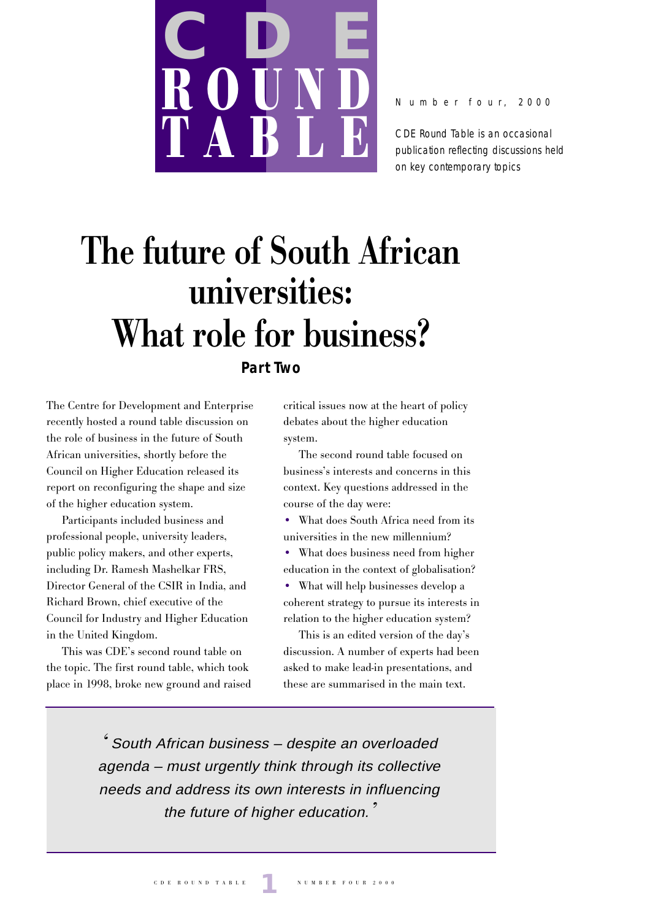

N u m b e r f o u r , 2000

CDE Round Table is an occasional publication reflecting discussions held on key contemporary topics

# **The future of South African universities: What role for business?**

# **Part Two**

The Centre for Development and Enterprise recently hosted a round table discussion on the role of business in the future of South African universities, shortly before the Council on Higher Education released its report on reconfiguring the shape and size of the higher education system.

Participants included business and professional people, university leaders, public policy makers, and other experts, including Dr. Ramesh Mashelkar FRS, Director General of the CSIR in India, and Richard Brown, chief executive of the Council for Industry and Higher Education in the United Kingdom.

This was CDE's second round table on the topic. The first round table, which took place in 1998, broke new ground and raised

critical issues now at the heart of policy debates about the higher education system.

The second round table focused on business's interests and concerns in this context. Key questions addressed in the course of the day were:

• What does South Africa need from its universities in the new millennium?

• What does business need from higher education in the context of globalisation?

• What will help businesses develop a coherent strategy to pursue its interests in relation to the higher education system?

This is an edited version of the day's discussion. A number of experts had been asked to make lead-in presentations, and these are summarised in the main text.

' South African business – despite an overloaded agenda – must urgently think through its collective needs and address its own interests in influencing the future of higher education.<sup>7</sup>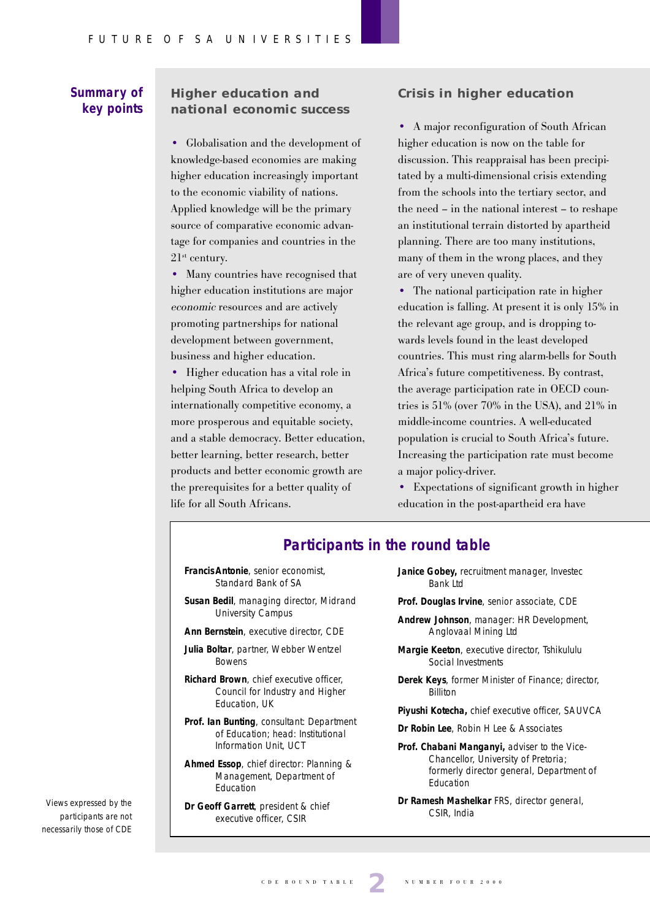### **Summary of key points**

### **Higher education and national economic success**

• Globalisation and the development of knowledge-based economies are making higher education increasingly important to the economic viability of nations. Applied knowledge will be the primary source of comparative economic advantage for companies and countries in the  $21<sup>st</sup>$  century.

• Many countries have recognised that higher education institutions are major economic resources and are actively promoting partnerships for national development between government, business and higher education.

• Higher education has a vital role in helping South Africa to develop an internationally competitive economy, a more prosperous and equitable society, and a stable democracy. Better education, better learning, better research, better products and better economic growth are the prerequisites for a better quality of life for all South Africans.

#### **Crisis in higher education**

• A major reconfiguration of South African higher education is now on the table for discussion. This reappraisal has been precipitated by a multi-dimensional crisis extending from the schools into the tertiary sector, and the need – in the national interest – to reshape an institutional terrain distorted by apartheid planning. There are too many institutions, many of them in the wrong places, and they are of very uneven quality.

• The national participation rate in higher education is falling. At present it is only 15% in the relevant age group, and is dropping towards levels found in the least developed countries. This must ring alarm-bells for South Africa's future competitiveness. By contrast, the average participation rate in OECD countries is 51% (over 70% in the USA), and 21% in middle-income countries. A well-educated population is crucial to South Africa's future. Increasing the participation rate must become a major policy-driver.

• Expectations of significant growth in higher education in the post-apartheid era have

### **Participants in the round table**

- **FrancisAntonie**, senior economist, Standard Bank of SA
- **Susan Bedil**, managing director, Midrand University Campus
- **Ann Bernstein**, executive director, CDE
- **Julia Boltar**, partner, Webber Wentzel Bowens
- **Richard Brown**, chief executive officer, Council for Industry and Higher Education, UK
- **Prof. Ian Bunting**, consultant: Department of Education; head: Institutional Information Unit, UCT
- **Ahmed Essop**, chief director: Planning & Management, Department of Education
- **Dr Geoff Garrett**, president & chief executive officer, CSIR
- **Janice Gobey,** recruitment manager, Investec Bank Ltd
- **Prof. Douglas Irvine**, senior associate, CDE
- **Andrew Johnson**, manager: HR Development, Anglovaal Mining Ltd
- **Margie Keeton**, executive director, Tshikululu Social Investments
- **Derek Keys**, former Minister of Finance; director, Billiton
- **Piyushi Kotecha,** chief executive officer, SAUVCA
- **Dr Robin Lee**, Robin H Lee & Associates
- **Prof. Chabani Manganyi,** adviser to the Vice-Chancellor, University of Pretoria; formerly director general, Department of Education
- **Dr Ramesh Mashelkar** FRS, director general, CSIR, India

Views expressed by the participants are not necessarily those of CDE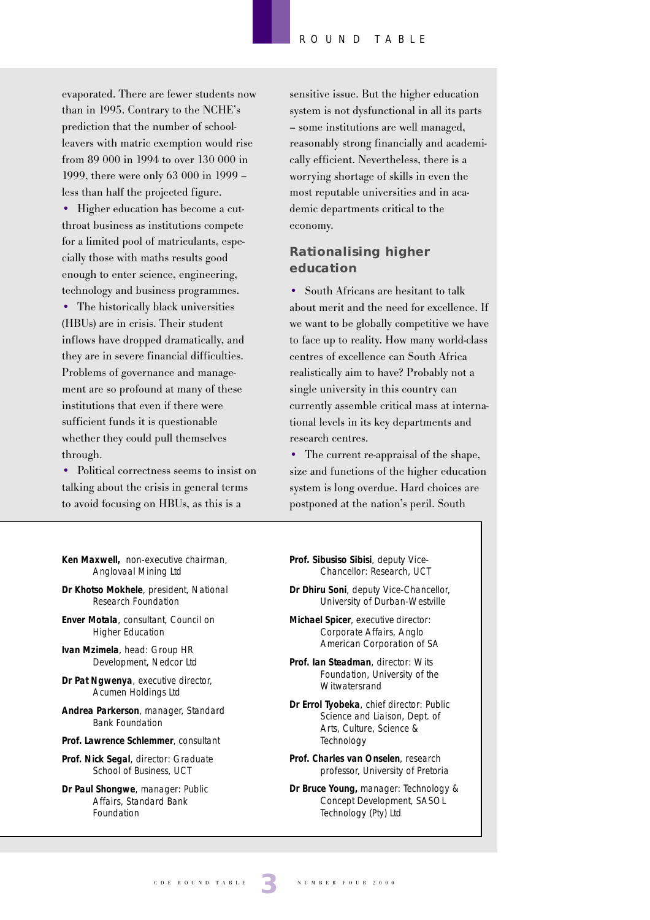evaporated. There are fewer students now than in 1995. Contrary to the NCHE's prediction that the number of schoolleavers with matric exemption would rise from 89 000 in 1994 to over 130 000 in 1999, there were only 63 000 in 1999 – less than half the projected figure.

• Higher education has become a cutthroat business as institutions compete for a limited pool of matriculants, especially those with maths results good enough to enter science, engineering, technology and business programmes. • The historically black universities (HBUs) are in crisis. Their student inflows have dropped dramatically, and they are in severe financial difficulties. Problems of governance and management are so profound at many of these institutions that even if there were sufficient funds it is questionable whether they could pull themselves through.

• Political correctness seems to insist on talking about the crisis in general terms to avoid focusing on HBUs, as this is a

- **Ken Maxwell,** non-executive chairman, Anglovaal Mining Ltd
- **Dr Khotso Mokhele**, president, National Research Foundation
- **Enver Motala**, consultant, Council on Higher Education
- **Ivan Mzimela**, head: Group HR Development, Nedcor Ltd
- **Dr Pat Ngwenya**, executive director, Acumen Holdings Ltd
- **Andrea Parkerson**, manager, Standard Bank Foundation
- **Prof. Lawrence Schlemmer**, consultant
- **Prof. Nick Segal**, director: Graduate School of Business, UCT
- **Dr Paul Shongwe**, manager: Public Affairs, Standard Bank Foundation

sensitive issue. But the higher education system is not dysfunctional in all its parts – some institutions are well managed, reasonably strong financially and academically efficient. Nevertheless, there is a worrying shortage of skills in even the most reputable universities and in academic departments critical to the economy.

### **Rationalising higher education**

• South Africans are hesitant to talk about merit and the need for excellence. If we want to be globally competitive we have to face up to reality. How many world-class centres of excellence can South Africa realistically aim to have? Probably not a single university in this country can currently assemble critical mass at international levels in its key departments and research centres.

• The current re-appraisal of the shape, size and functions of the higher education system is long overdue. Hard choices are postponed at the nation's peril. South

- **Prof. Sibusiso Sibisi**, deputy Vice-Chancellor: Research, UCT
- **Dr Dhiru Soni**, deputy Vice-Chancellor, University of Durban-Westville
- **Michael Spicer**, executive director: Corporate Affairs, Anglo American Corporation of SA
- **Prof. Ian Steadman**, director: Wits Foundation, University of the **Witwatersrand**
- **Dr Errol Tyobeka**, chief director: Public Science and Liaison, Dept. of Arts, Culture, Science & **Technology**
- **Prof. Charles van Onselen**, research professor, University of Pretoria
- **Dr Bruce Young,** manager: Technology & Concept Development, SASOL Technology (Pty) Ltd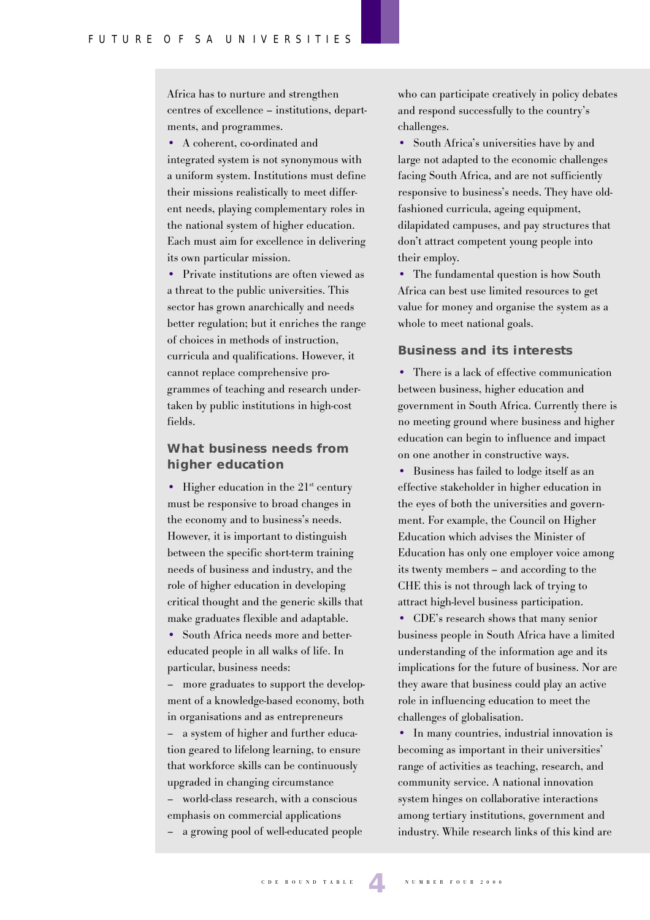Africa has to nurture and strengthen centres of excellence – institutions, departments, and programmes.

• A coherent, co-ordinated and

integrated system is not synonymous with a uniform system. Institutions must define their missions realistically to meet different needs, playing complementary roles in the national system of higher education. Each must aim for excellence in delivering its own particular mission.

• Private institutions are often viewed as a threat to the public universities. This sector has grown anarchically and needs better regulation; but it enriches the range of choices in methods of instruction, curricula and qualifications. However, it cannot replace comprehensive programmes of teaching and research undertaken by public institutions in high-cost fields.

### **What business needs from higher education**

• Higher education in the  $21<sup>st</sup>$  century must be responsive to broad changes in the economy and to business's needs. However, it is important to distinguish between the specific short-term training needs of business and industry, and the role of higher education in developing critical thought and the generic skills that make graduates flexible and adaptable.

• South Africa needs more and bettereducated people in all walks of life. In particular, business needs:

– more graduates to support the development of a knowledge-based economy, both in organisations and as entrepreneurs

– a system of higher and further education geared to lifelong learning, to ensure that workforce skills can be continuously upgraded in changing circumstance – world-class research, with a conscious emphasis on commercial applications

– a growing pool of well-educated people

who can participate creatively in policy debates and respond successfully to the country's challenges.

• South Africa's universities have by and large not adapted to the economic challenges facing South Africa, and are not sufficiently responsive to business's needs. They have oldfashioned curricula, ageing equipment, dilapidated campuses, and pay structures that don't attract competent young people into their employ.

• The fundamental question is how South Africa can best use limited resources to get value for money and organise the system as a whole to meet national goals.

#### **Business and its interests**

• There is a lack of effective communication between business, higher education and government in South Africa. Currently there is no meeting ground where business and higher education can begin to influence and impact on one another in constructive ways.

• Business has failed to lodge itself as an effective stakeholder in higher education in the eyes of both the universities and government. For example, the Council on Higher Education which advises the Minister of Education has only one employer voice among its twenty members – and according to the CHE this is not through lack of trying to attract high-level business participation.

• CDE's research shows that many senior business people in South Africa have a limited understanding of the information age and its implications for the future of business. Nor are they aware that business could play an active role in influencing education to meet the challenges of globalisation.

• In many countries, industrial innovation is becoming as important in their universities' range of activities as teaching, research, and community service. A national innovation system hinges on collaborative interactions among tertiary institutions, government and industry. While research links of this kind are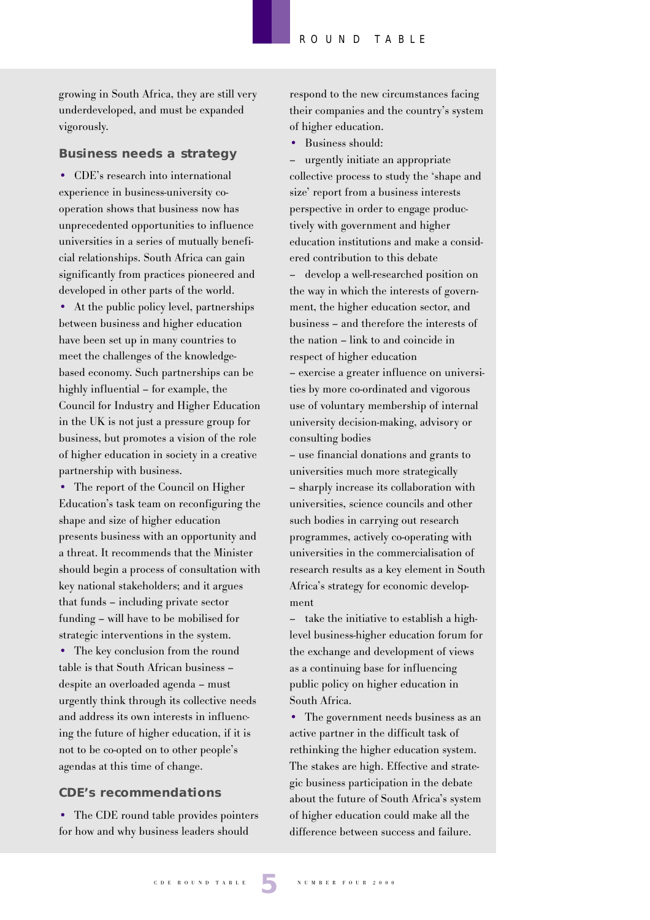growing in South Africa, they are still very underdeveloped, and must be expanded vigorously.

#### **Business needs a strategy**

• CDE's research into international experience in business-university cooperation shows that business now has unprecedented opportunities to influence universities in a series of mutually beneficial relationships. South Africa can gain significantly from practices pioneered and developed in other parts of the world.

• At the public policy level, partnerships between business and higher education have been set up in many countries to meet the challenges of the knowledgebased economy. Such partnerships can be highly influential – for example, the Council for Industry and Higher Education in the UK is not just a pressure group for business, but promotes a vision of the role of higher education in society in a creative partnership with business.

• The report of the Council on Higher Education's task team on reconfiguring the shape and size of higher education presents business with an opportunity and a threat. It recommends that the Minister should begin a process of consultation with key national stakeholders; and it argues that funds – including private sector funding – will have to be mobilised for strategic interventions in the system.

• The key conclusion from the round table is that South African business – despite an overloaded agenda – must urgently think through its collective needs and address its own interests in influencing the future of higher education, if it is not to be co-opted on to other people's agendas at this time of change.

#### **CDE's recommendations**

• The CDE round table provides pointers for how and why business leaders should

respond to the new circumstances facing their companies and the country's system of higher education.

• Business should:

– urgently initiate an appropriate collective process to study the 'shape and size' report from a business interests perspective in order to engage productively with government and higher education institutions and make a considered contribution to this debate – develop a well-researched position on the way in which the interests of government, the higher education sector, and business – and therefore the interests of the nation – link to and coincide in respect of higher education – exercise a greater influence on universi-

ties by more co-ordinated and vigorous use of voluntary membership of internal university decision-making, advisory or consulting bodies

– use financial donations and grants to universities much more strategically – sharply increase its collaboration with universities, science councils and other such bodies in carrying out research programmes, actively co-operating with universities in the commercialisation of research results as a key element in South Africa's strategy for economic development

– take the initiative to establish a highlevel business-higher education forum for the exchange and development of views as a continuing base for influencing public policy on higher education in South Africa.

• The government needs business as an active partner in the difficult task of rethinking the higher education system. The stakes are high. Effective and strategic business participation in the debate about the future of South Africa's system of higher education could make all the difference between success and failure.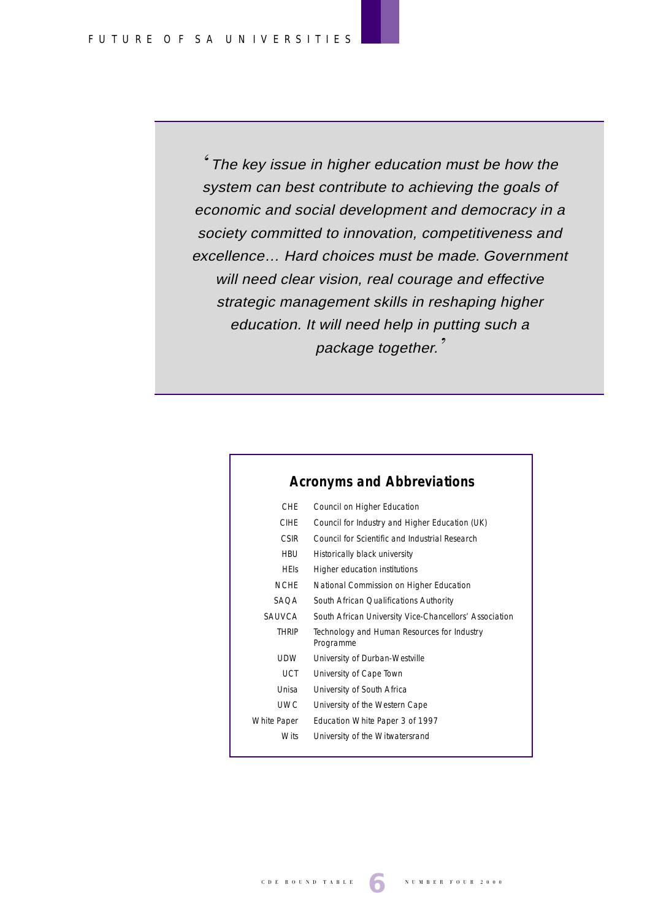' The key issue in higher education must be how the system can best contribute to achieving the goals of economic and social development and democracy in a society committed to innovation, competitiveness and excellence… Hard choices must be made. Government will need clear vision, real courage and effective strategic management skills in reshaping higher education. It will need help in putting such a package together.'

| Council on Higher Education                              |
|----------------------------------------------------------|
| Council for Industry and Higher Education (UK)           |
| Council for Scientific and Industrial Research           |
| Historically black university                            |
| Higher education institutions                            |
| National Commission on Higher Education                  |
| South African Qualifications Authority                   |
| South African University Vice-Chancellors' Association   |
| Technology and Human Resources for Industry<br>Programme |
| University of Durban-Westville                           |
| University of Cape Town                                  |
| University of South Africa                               |
| University of the Western Cape                           |
| Education White Paper 3 of 1997                          |
| University of the Witwatersrand                          |
|                                                          |

# **Acronyms and Abbreviations**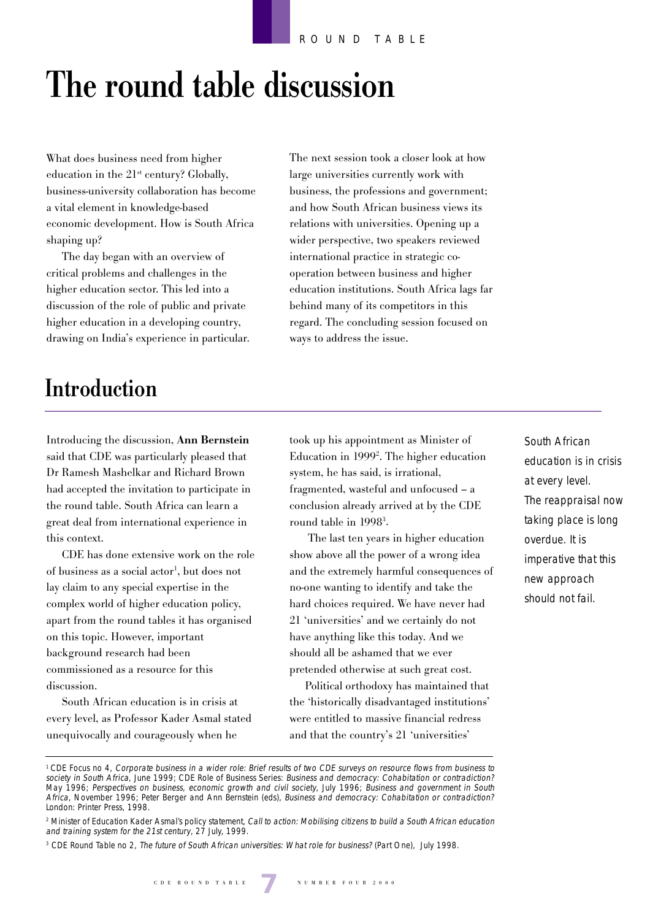# **The round table discussion**

What does business need from higher education in the  $21<sup>st</sup>$  century? Globally, business-university collaboration has become a vital element in knowledge-based economic development. How is South Africa shaping up?

The day began with an overview of critical problems and challenges in the higher education sector. This led into a discussion of the role of public and private higher education in a developing country, drawing on India's experience in particular. The next session took a closer look at how large universities currently work with business, the professions and government; and how South African business views its relations with universities. Opening up a wider perspective, two speakers reviewed international practice in strategic cooperation between business and higher education institutions. South Africa lags far behind many of its competitors in this regard. The concluding session focused on ways to address the issue.

# **Introduction**

Introducing the discussion, **Ann Bernstein** said that CDE was particularly pleased that Dr Ramesh Mashelkar and Richard Brown had accepted the invitation to participate in the round table. South Africa can learn a great deal from international experience in this context.

CDE has done extensive work on the role of business as a social actor<sup>1</sup>, but does not lay claim to any special expertise in the complex world of higher education policy, apart from the round tables it has organised on this topic. However, important background research had been commissioned as a resource for this discussion.

South African education is in crisis at every level, as Professor Kader Asmal stated unequivocally and courageously when he

took up his appointment as Minister of Education in 19992 . The higher education system, he has said, is irrational, fragmented, wasteful and unfocused – a conclusion already arrived at by the CDE round table in 19983 .

 The last ten years in higher education show above all the power of a wrong idea and the extremely harmful consequences of no-one wanting to identify and take the hard choices required. We have never had 21 'universities' and we certainly do not have anything like this today. And we should all be ashamed that we ever pretended otherwise at such great cost.

Political orthodoxy has maintained that the 'historically disadvantaged institutions' were entitled to massive financial redress and that the country's 21 'universities'

South African education is in crisis at every level. The reappraisal now taking place is long overdue. It is imperative that this new approach should not fail.

<sup>1</sup> CDE Focus no 4, Corporate business in a wider role: Brief results of two CDE surveys on resource flows from business to society in South Africa, June 1999; CDE Role of Business Series: Business and democracy: Cohabitation or contradiction? May 1996; Perspectives on business, economic growth and civil society, July 1996; Business and government in South Africa, November 1996; Peter Berger and Ann Bernstein (eds), Business and democracy: Cohabitation or contradiction? London: Printer Press, 1998.

<sup>&</sup>lt;sup>2</sup> Minister of Education Kader Asmal's policy statement, Call to action: Mobilising citizens to build a South African education and training system for the 21st century, 27 July, 1999.

<sup>&</sup>lt;sup>3</sup> CDE Round Table no 2, The future of South African universities: What role for business? (Part One), July 1998.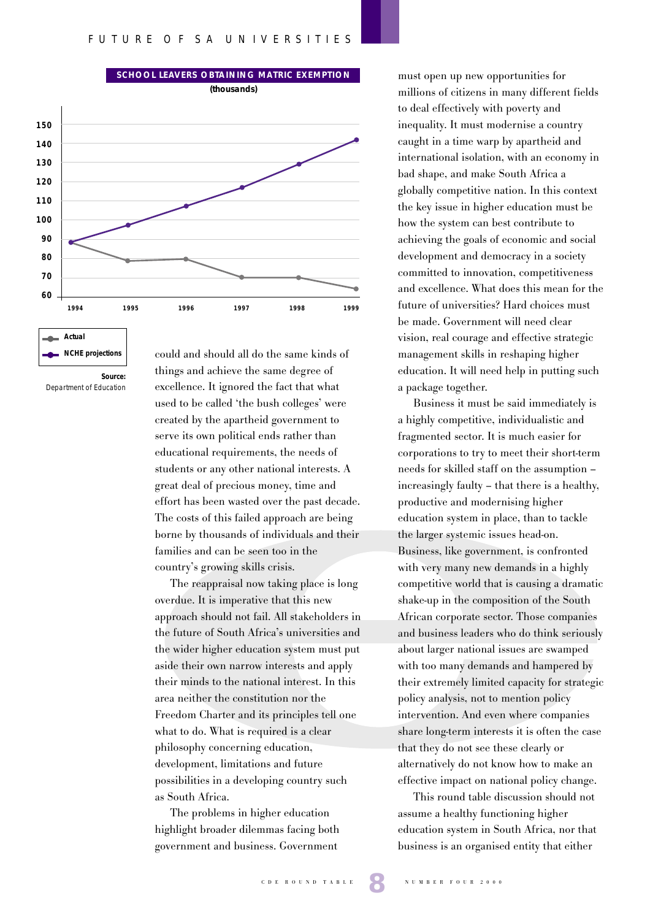



Department of Education

could and should all do the same kinds of things and achieve the same degree of excellence. It ignored the fact that what used to be called 'the bush colleges' were created by the apartheid government to serve its own political ends rather than educational requirements, the needs of students or any other national interests. A great deal of precious money, time and effort has been wasted over the past decade. The costs of this failed approach are being borne by thousands of individuals and their families and can be seen too in the country's growing skills crisis.

The reappraisal now taking place is long overdue. It is imperative that this new approach should not fail. All stakeholders in the future of South Africa's universities and the wider higher education system must put aside their own narrow interests and apply their minds to the national interest. In this area neither the constitution nor the Freedom Charter and its principles tell one what to do. What is required is a clear philosophy concerning education, development, limitations and future possibilities in a developing country such as South Africa.

The problems in higher education highlight broader dilemmas facing both government and business. Government

must open up new opportunities for millions of citizens in many different fields to deal effectively with poverty and inequality. It must modernise a country caught in a time warp by apartheid and international isolation, with an economy in bad shape, and make South Africa a globally competitive nation. In this context the key issue in higher education must be how the system can best contribute to achieving the goals of economic and social development and democracy in a society committed to innovation, competitiveness and excellence. What does this mean for the future of universities? Hard choices must be made. Government will need clear vision, real courage and effective strategic management skills in reshaping higher education. It will need help in putting such a package together.

Business it must be said immediately is a highly competitive, individualistic and fragmented sector. It is much easier for corporations to try to meet their short-term needs for skilled staff on the assumption – increasingly faulty – that there is a healthy, productive and modernising higher education system in place, than to tackle the larger systemic issues head-on. Business, like government, is confronted with very many new demands in a highly competitive world that is causing a dramatic shake-up in the composition of the South African corporate sector. Those companies and business leaders who do think seriously about larger national issues are swamped with too many demands and hampered by their extremely limited capacity for strategic policy analysis, not to mention policy intervention. And even where companies share long-term interests it is often the case that they do not see these clearly or alternatively do not know how to make an effective impact on national policy change.

This round table discussion should not assume a healthy functioning higher education system in South Africa, nor that business is an organised entity that either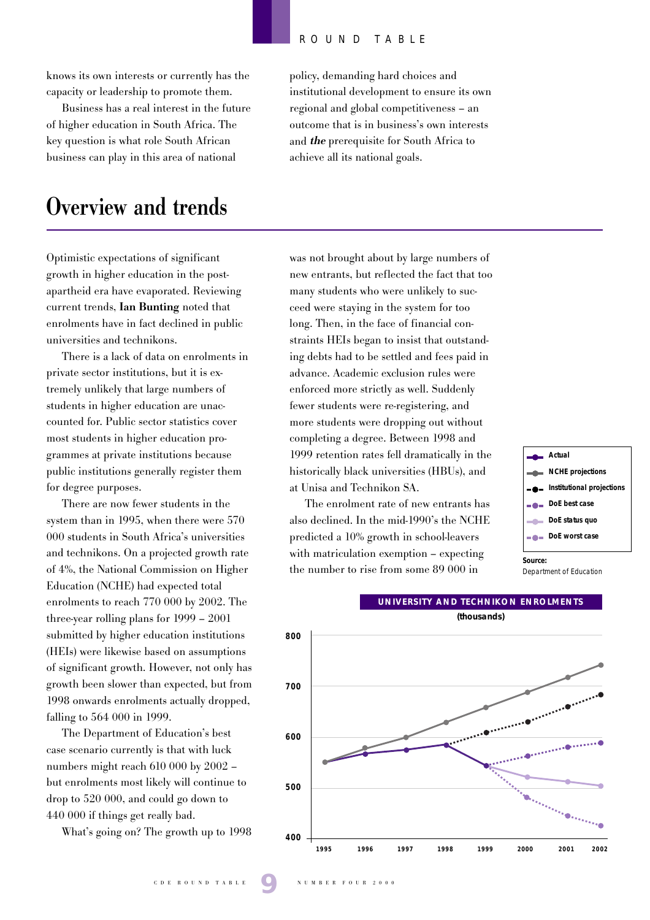knows its own interests or currently has the capacity or leadership to promote them.

Business has a real interest in the future of higher education in South Africa. The key question is what role South African business can play in this area of national

# **Overview and trends**

Optimistic expectations of significant growth in higher education in the postapartheid era have evaporated. Reviewing current trends, **Ian Bunting** noted that enrolments have in fact declined in public universities and technikons.

There is a lack of data on enrolments in private sector institutions, but it is extremely unlikely that large numbers of students in higher education are unaccounted for. Public sector statistics cover most students in higher education programmes at private institutions because public institutions generally register them for degree purposes.

There are now fewer students in the system than in 1995, when there were 570 000 students in South Africa's universities and technikons. On a projected growth rate of 4%, the National Commission on Higher Education (NCHE) had expected total enrolments to reach 770 000 by 2002. The three-year rolling plans for 1999 – 2001 submitted by higher education institutions (HEIs) were likewise based on assumptions of significant growth. However, not only has growth been slower than expected, but from 1998 onwards enrolments actually dropped, falling to 564 000 in 1999.

The Department of Education's best case scenario currently is that with luck numbers might reach 610 000 by 2002 – but enrolments most likely will continue to drop to 520 000, and could go down to 440 000 if things get really bad.

What's going on? The growth up to 1998

policy, demanding hard choices and institutional development to ensure its own regional and global competitiveness – an outcome that is in business's own interests and **the** prerequisite for South Africa to achieve all its national goals.

was not brought about by large numbers of new entrants, but reflected the fact that too many students who were unlikely to succeed were staying in the system for too long. Then, in the face of financial constraints HEIs began to insist that outstanding debts had to be settled and fees paid in advance. Academic exclusion rules were enforced more strictly as well. Suddenly fewer students were re-registering, and more students were dropping out without completing a degree. Between 1998 and 1999 retention rates fell dramatically in the historically black universities (HBUs), and at Unisa and Technikon SA.

The enrolment rate of new entrants has also declined. In the mid-1990's the NCHE predicted a 10% growth in school-leavers with matriculation exemption – expecting the number to rise from some 89 000 in



Department of Education

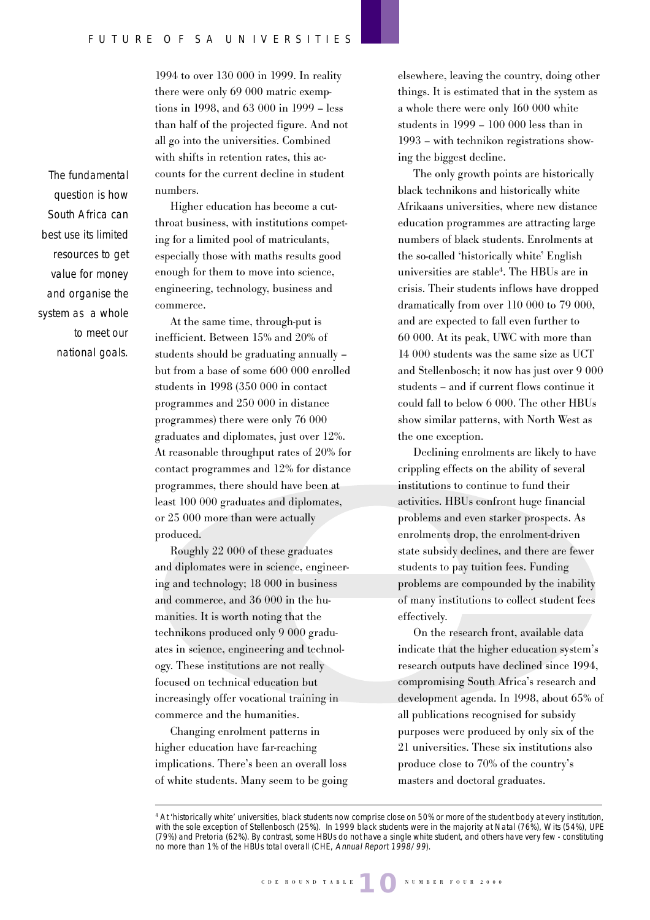1994 to over 130 000 in 1999. In reality there were only 69 000 matric exemptions in 1998, and 63 000 in 1999 – less than half of the projected figure. And not all go into the universities. Combined with shifts in retention rates, this accounts for the current decline in student numbers.

Higher education has become a cutthroat business, with institutions competing for a limited pool of matriculants, especially those with maths results good enough for them to move into science, engineering, technology, business and commerce.

At the same time, through-put is inefficient. Between 15% and 20% of students should be graduating annually – but from a base of some 600 000 enrolled students in 1998 (350 000 in contact programmes and 250 000 in distance programmes) there were only 76 000 graduates and diplomates, just over 12%. At reasonable throughput rates of 20% for contact programmes and 12% for distance programmes, there should have been at least 100 000 graduates and diplomates, or 25 000 more than were actually produced.

Roughly 22 000 of these graduates and diplomates were in science, engineering and technology; 18 000 in business and commerce, and 36 000 in the humanities. It is worth noting that the technikons produced only 9 000 graduates in science, engineering and technology. These institutions are not really focused on technical education but increasingly offer vocational training in commerce and the humanities.

Changing enrolment patterns in higher education have far-reaching implications. There's been an overall loss of white students. Many seem to be going elsewhere, leaving the country, doing other things. It is estimated that in the system as a whole there were only 160 000 white students in 1999 – 100 000 less than in 1993 – with technikon registrations showing the biggest decline.

The only growth points are historically black technikons and historically white Afrikaans universities, where new distance education programmes are attracting large numbers of black students. Enrolments at the so-called 'historically white' English universities are stable4 . The HBUs are in crisis. Their students inflows have dropped dramatically from over 110 000 to 79 000, and are expected to fall even further to 60 000. At its peak, UWC with more than 14 000 students was the same size as UCT and Stellenbosch; it now has just over 9 000 students – and if current flows continue it could fall to below 6 000. The other HBUs show similar patterns, with North West as the one exception.

Declining enrolments are likely to have crippling effects on the ability of several institutions to continue to fund their activities. HBUs confront huge financial problems and even starker prospects. As enrolments drop, the enrolment-driven state subsidy declines, and there are fewer students to pay tuition fees. Funding problems are compounded by the inability of many institutions to collect student fees effectively.

On the research front, available data indicate that the higher education system's research outputs have declined since 1994, compromising South Africa's research and development agenda. In 1998, about 65% of all publications recognised for subsidy purposes were produced by only six of the 21 universities. These six institutions also produce close to 70% of the country's masters and doctoral graduates.

The fundamental question is how South Africa can best use its limited resources to get value for money and organise the system as a whole to meet our national goals.

<sup>4</sup> At 'historically white' universities, black students now comprise close on 50% or more of the student body at every institution, with the sole exception of Stellenbosch (25%). In 1999 black students were in the majority at Natal (76%), Wits (54%), UPE (79%) and Pretoria (62%). By contrast, some HBUs do not have a single white student, and others have very few - constituting no more than 1% of the HBUs total overall (CHE, Annual Report 1998/99).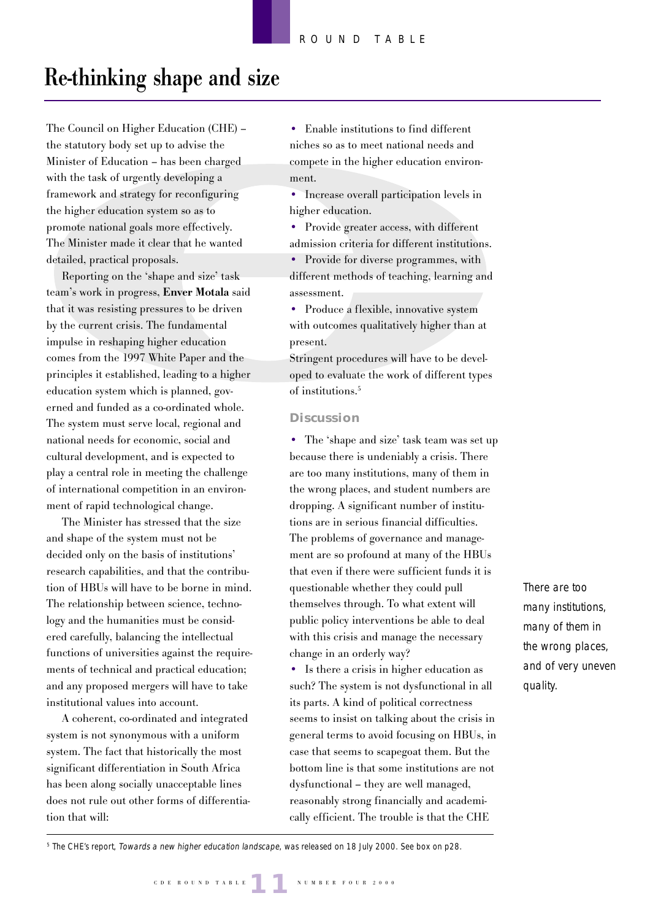# **Re-thinking shape and size**

The Council on Higher Education (CHE) – the statutory body set up to advise the Minister of Education – has been charged with the task of urgently developing a framework and strategy for reconfiguring the higher education system so as to promote national goals more effectively. The Minister made it clear that he wanted detailed, practical proposals.

Reporting on the 'shape and size' task team's work in progress, **Enver Motala** said that it was resisting pressures to be driven by the current crisis. The fundamental impulse in reshaping higher education comes from the 1997 White Paper and the principles it established, leading to a higher education system which is planned, governed and funded as a co-ordinated whole. The system must serve local, regional and national needs for economic, social and cultural development, and is expected to play a central role in meeting the challenge of international competition in an environment of rapid technological change.

The Minister has stressed that the size and shape of the system must not be decided only on the basis of institutions' research capabilities, and that the contribution of HBUs will have to be borne in mind. The relationship between science, technology and the humanities must be considered carefully, balancing the intellectual functions of universities against the requirements of technical and practical education; and any proposed mergers will have to take institutional values into account.

A coherent, co-ordinated and integrated system is not synonymous with a uniform system. The fact that historically the most significant differentiation in South Africa has been along socially unacceptable lines does not rule out other forms of differentiation that will:

• Enable institutions to find different niches so as to meet national needs and compete in the higher education environment.

• Increase overall participation levels in higher education.

• Provide greater access, with different admission criteria for different institutions.

• Provide for diverse programmes, with different methods of teaching, learning and assessment.

• Produce a flexible, innovative system with outcomes qualitatively higher than at present.

Stringent procedures will have to be developed to evaluate the work of different types of institutions.5

#### **Discussion**

• The 'shape and size' task team was set up because there is undeniably a crisis. There are too many institutions, many of them in the wrong places, and student numbers are dropping. A significant number of institutions are in serious financial difficulties. The problems of governance and management are so profound at many of the HBUs that even if there were sufficient funds it is questionable whether they could pull themselves through. To what extent will public policy interventions be able to deal with this crisis and manage the necessary change in an orderly way?

• Is there a crisis in higher education as such? The system is not dysfunctional in all its parts. A kind of political correctness seems to insist on talking about the crisis in general terms to avoid focusing on HBUs, in case that seems to scapegoat them. But the bottom line is that some institutions are not dysfunctional – they are well managed, reasonably strong financially and academically efficient. The trouble is that the CHE

There are too many institutions, many of them in the wrong places, and of very uneven quality.

5 The CHE's report, Towards a new higher education landscape, was released on 18 July 2000. See box on p28.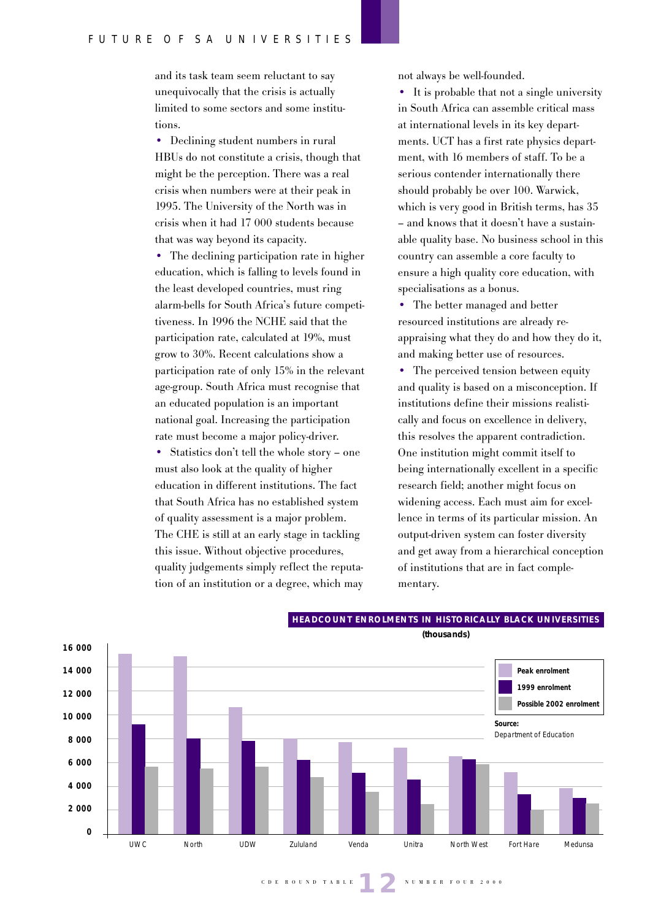and its task team seem reluctant to say unequivocally that the crisis is actually limited to some sectors and some institutions.

• Declining student numbers in rural HBUs do not constitute a crisis, though that might be the perception. There was a real crisis when numbers were at their peak in 1995. The University of the North was in crisis when it had 17 000 students because that was way beyond its capacity.

• The declining participation rate in higher education, which is falling to levels found in the least developed countries, must ring alarm-bells for South Africa's future competitiveness. In 1996 the NCHE said that the participation rate, calculated at 19%, must grow to 30%. Recent calculations show a participation rate of only 15% in the relevant age-group. South Africa must recognise that an educated population is an important national goal. Increasing the participation rate must become a major policy-driver.

• Statistics don't tell the whole story – one must also look at the quality of higher education in different institutions. The fact that South Africa has no established system of quality assessment is a major problem. The CHE is still at an early stage in tackling this issue. Without objective procedures, quality judgements simply reflect the reputation of an institution or a degree, which may

not always be well-founded.

• It is probable that not a single university in South Africa can assemble critical mass at international levels in its key departments. UCT has a first rate physics department, with 16 members of staff. To be a serious contender internationally there should probably be over 100. Warwick, which is very good in British terms, has 35 – and knows that it doesn't have a sustainable quality base. No business school in this country can assemble a core faculty to ensure a high quality core education, with specialisations as a bonus.

• The better managed and better resourced institutions are already reappraising what they do and how they do it, and making better use of resources.

• The perceived tension between equity and quality is based on a misconception. If institutions define their missions realistically and focus on excellence in delivery, this resolves the apparent contradiction. One institution might commit itself to being internationally excellent in a specific research field; another might focus on widening access. Each must aim for excellence in terms of its particular mission. An output-driven system can foster diversity and get away from a hierarchical conception of institutions that are in fact complementary.



## **HEADCOUNT ENROLMENTS IN HISTORICALLY BLACK UNIVERSITIES**

**(thousands)**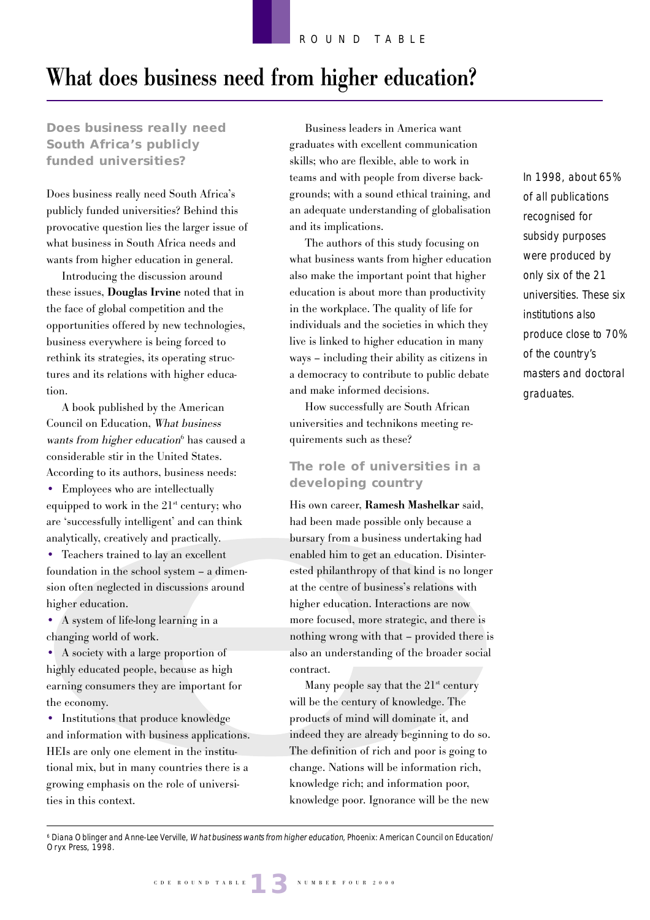# **What does business need from higher education?**

**Does business really need South Africa's publicly funded universities?**

Does business really need South Africa's publicly funded universities? Behind this provocative question lies the larger issue of what business in South Africa needs and wants from higher education in general.

Introducing the discussion around these issues, **Douglas Irvine** noted that in the face of global competition and the opportunities offered by new technologies, business everywhere is being forced to rethink its strategies, its operating structures and its relations with higher education.

A book published by the American Council on Education, What business wants from higher education<sup>6</sup> has caused a considerable stir in the United States. According to its authors, business needs:

• Employees who are intellectually equipped to work in the  $21<sup>st</sup>$  century; who are 'successfully intelligent' and can think analytically, creatively and practically.

• Teachers trained to lay an excellent foundation in the school system – a dimension often neglected in discussions around higher education.

• A system of life-long learning in a changing world of work.

• A society with a large proportion of highly educated people, because as high earning consumers they are important for the economy.

• Institutions that produce knowledge and information with business applications. HEIs are only one element in the institutional mix, but in many countries there is a growing emphasis on the role of universities in this context.

Business leaders in America want graduates with excellent communication skills; who are flexible, able to work in teams and with people from diverse backgrounds; with a sound ethical training, and an adequate understanding of globalisation and its implications.

The authors of this study focusing on what business wants from higher education also make the important point that higher education is about more than productivity in the workplace. The quality of life for individuals and the societies in which they live is linked to higher education in many ways – including their ability as citizens in a democracy to contribute to public debate and make informed decisions.

How successfully are South African universities and technikons meeting requirements such as these?

# **The role of universities in a developing country**

His own career, **Ramesh Mashelkar** said, had been made possible only because a bursary from a business undertaking had enabled him to get an education. Disinterested philanthropy of that kind is no longer at the centre of business's relations with higher education. Interactions are now more focused, more strategic, and there is nothing wrong with that – provided there is also an understanding of the broader social contract.

Many people say that the  $21<sup>st</sup>$  century will be the century of knowledge. The products of mind will dominate it, and indeed they are already beginning to do so. The definition of rich and poor is going to change. Nations will be information rich, knowledge rich; and information poor, knowledge poor. Ignorance will be the new In 1998, about 65% of all publications recognised for subsidy purposes were produced by only six of the 21 universities. These six institutions also produce close to 70% of the country's masters and doctoral graduates.

6 Diana Oblinger and Anne-Lee Verville, What business wants from higher education, Phoenix: American Council on Education/ Oryx Press, 1998.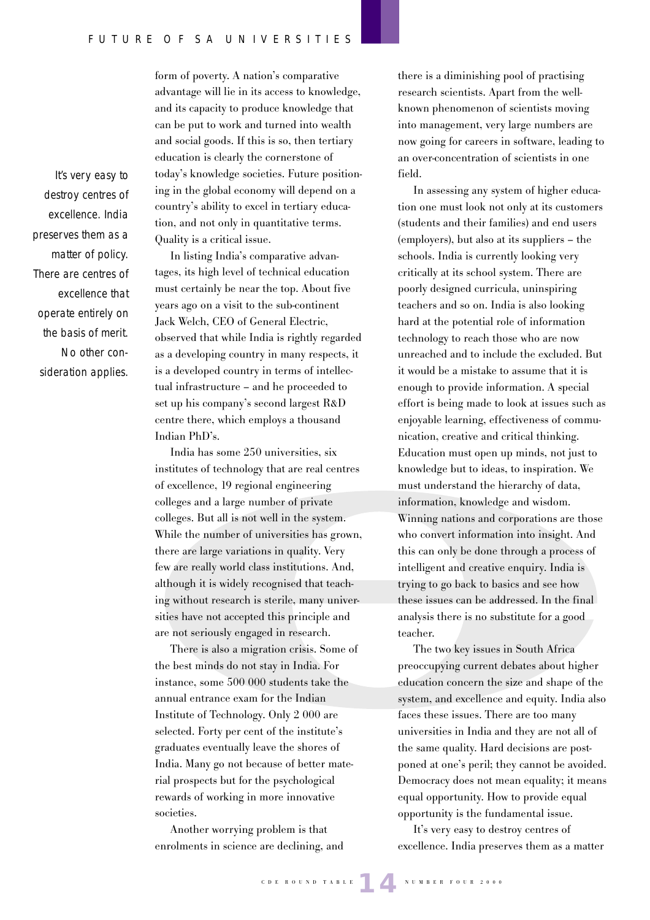It's very easy to destroy centres of excellence. India preserves them as a matter of policy. There are centres of excellence that operate entirely on the basis of merit. No other consideration applies.

form of poverty. A nation's comparative advantage will lie in its access to knowledge, and its capacity to produce knowledge that can be put to work and turned into wealth and social goods. If this is so, then tertiary education is clearly the cornerstone of today's knowledge societies. Future positioning in the global economy will depend on a country's ability to excel in tertiary education, and not only in quantitative terms. Quality is a critical issue.

In listing India's comparative advantages, its high level of technical education must certainly be near the top. About five years ago on a visit to the sub-continent Jack Welch, CEO of General Electric, observed that while India is rightly regarded as a developing country in many respects, it is a developed country in terms of intellectual infrastructure – and he proceeded to set up his company's second largest R&D centre there, which employs a thousand Indian PhD's.

India has some 250 universities, six institutes of technology that are real centres of excellence, 19 regional engineering colleges and a large number of private colleges. But all is not well in the system. While the number of universities has grown, there are large variations in quality. Very few are really world class institutions. And, although it is widely recognised that teaching without research is sterile, many universities have not accepted this principle and are not seriously engaged in research.

There is also a migration crisis. Some of the best minds do not stay in India. For instance, some 500 000 students take the annual entrance exam for the Indian Institute of Technology. Only 2 000 are selected. Forty per cent of the institute's graduates eventually leave the shores of India. Many go not because of better material prospects but for the psychological rewards of working in more innovative societies.

Another worrying problem is that enrolments in science are declining, and

there is a diminishing pool of practising research scientists. Apart from the wellknown phenomenon of scientists moving into management, very large numbers are now going for careers in software, leading to an over-concentration of scientists in one field.

In assessing any system of higher education one must look not only at its customers (students and their families) and end users (employers), but also at its suppliers – the schools. India is currently looking very critically at its school system. There are poorly designed curricula, uninspiring teachers and so on. India is also looking hard at the potential role of information technology to reach those who are now unreached and to include the excluded. But it would be a mistake to assume that it is enough to provide information. A special effort is being made to look at issues such as enjoyable learning, effectiveness of communication, creative and critical thinking. Education must open up minds, not just to knowledge but to ideas, to inspiration. We must understand the hierarchy of data, information, knowledge and wisdom. Winning nations and corporations are those who convert information into insight. And this can only be done through a process of intelligent and creative enquiry. India is trying to go back to basics and see how these issues can be addressed. In the final analysis there is no substitute for a good teacher.

The two key issues in South Africa preoccupying current debates about higher education concern the size and shape of the system, and excellence and equity. India also faces these issues. There are too many universities in India and they are not all of the same quality. Hard decisions are postponed at one's peril; they cannot be avoided. Democracy does not mean equality; it means equal opportunity. How to provide equal opportunity is the fundamental issue.

It's very easy to destroy centres of excellence. India preserves them as a matter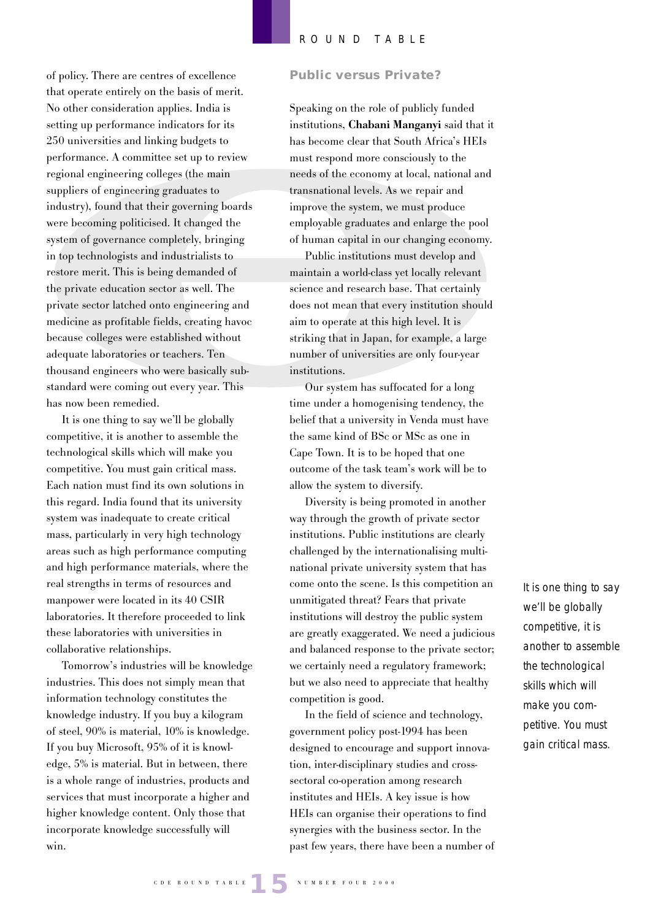of policy. There are centres of excellence that operate entirely on the basis of merit. No other consideration applies. India is setting up performance indicators for its 250 universities and linking budgets to performance. A committee set up to review regional engineering colleges (the main suppliers of engineering graduates to industry), found that their governing boards were becoming politicised. It changed the system of governance completely, bringing in top technologists and industrialists to restore merit. This is being demanded of the private education sector as well. The private sector latched onto engineering and medicine as profitable fields, creating havoc because colleges were established without adequate laboratories or teachers. Ten thousand engineers who were basically substandard were coming out every year. This has now been remedied.

It is one thing to say we'll be globally competitive, it is another to assemble the technological skills which will make you competitive. You must gain critical mass. Each nation must find its own solutions in this regard. India found that its university system was inadequate to create critical mass, particularly in very high technology areas such as high performance computing and high performance materials, where the real strengths in terms of resources and manpower were located in its 40 CSIR laboratories. It therefore proceeded to link these laboratories with universities in collaborative relationships.

Tomorrow's industries will be knowledge industries. This does not simply mean that information technology constitutes the knowledge industry. If you buy a kilogram of steel, 90% is material, 10% is knowledge. If you buy Microsoft, 95% of it is knowledge, 5% is material. But in between, there is a whole range of industries, products and services that must incorporate a higher and higher knowledge content. Only those that incorporate knowledge successfully will win.

#### **Public versus Private?**

Speaking on the role of publicly funded institutions, **Chabani Manganyi** said that it has become clear that South Africa's HEIs must respond more consciously to the needs of the economy at local, national and transnational levels. As we repair and improve the system, we must produce employable graduates and enlarge the pool of human capital in our changing economy.

Public institutions must develop and maintain a world-class yet locally relevant science and research base. That certainly does not mean that every institution should aim to operate at this high level. It is striking that in Japan, for example, a large number of universities are only four-year institutions.

Our system has suffocated for a long time under a homogenising tendency, the belief that a university in Venda must have the same kind of BSc or MSc as one in Cape Town. It is to be hoped that one outcome of the task team's work will be to allow the system to diversify.

Diversity is being promoted in another way through the growth of private sector institutions. Public institutions are clearly challenged by the internationalising multinational private university system that has come onto the scene. Is this competition an unmitigated threat? Fears that private institutions will destroy the public system are greatly exaggerated. We need a judicious and balanced response to the private sector; we certainly need a regulatory framework; but we also need to appreciate that healthy competition is good.

In the field of science and technology, government policy post-1994 has been designed to encourage and support innovation, inter-disciplinary studies and crosssectoral co-operation among research institutes and HEIs. A key issue is how HEIs can organise their operations to find synergies with the business sector. In the past few years, there have been a number of It is one thing to say we'll be globally competitive, it is another to assemble the technological skills which will make you competitive. You must gain critical mass.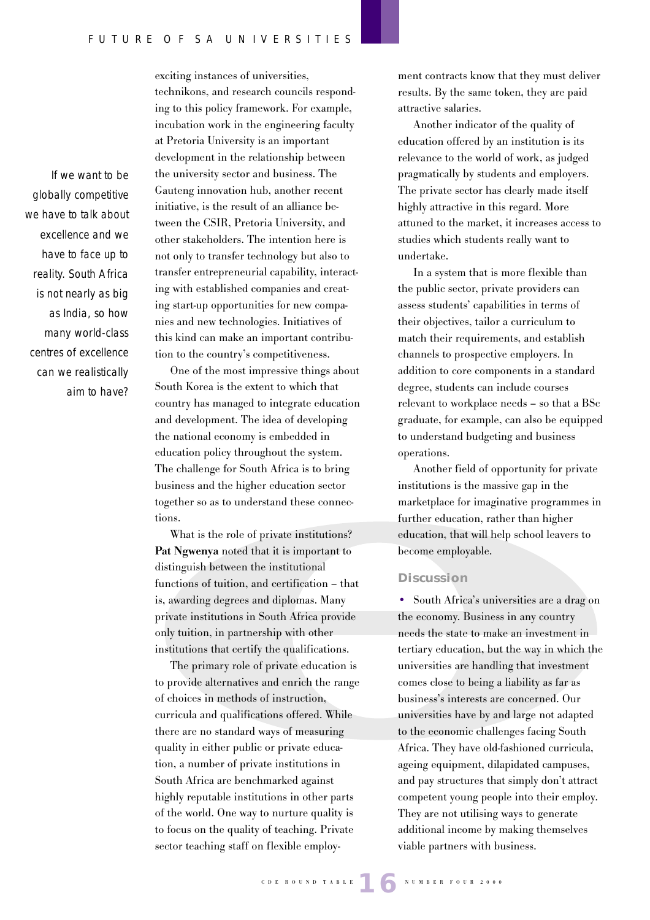If we want to be globally competitive we have to talk about excellence and we have to face up to reality. South Africa is not nearly as big as India, so how many world-class centres of excellence can we realistically aim to have?

exciting instances of universities, technikons, and research councils responding to this policy framework. For example, incubation work in the engineering faculty at Pretoria University is an important development in the relationship between the university sector and business. The Gauteng innovation hub, another recent initiative, is the result of an alliance between the CSIR, Pretoria University, and other stakeholders. The intention here is not only to transfer technology but also to transfer entrepreneurial capability, interacting with established companies and creating start-up opportunities for new companies and new technologies. Initiatives of this kind can make an important contribution to the country's competitiveness.

One of the most impressive things about South Korea is the extent to which that country has managed to integrate education and development. The idea of developing the national economy is embedded in education policy throughout the system. The challenge for South Africa is to bring business and the higher education sector together so as to understand these connections.

What is the role of private institutions? **Pat Ngwenya** noted that it is important to distinguish between the institutional functions of tuition, and certification – that is, awarding degrees and diplomas. Many private institutions in South Africa provide only tuition, in partnership with other institutions that certify the qualifications.

The primary role of private education is to provide alternatives and enrich the range of choices in methods of instruction, curricula and qualifications offered. While there are no standard ways of measuring quality in either public or private education, a number of private institutions in South Africa are benchmarked against highly reputable institutions in other parts of the world. One way to nurture quality is to focus on the quality of teaching. Private sector teaching staff on flexible employment contracts know that they must deliver results. By the same token, they are paid attractive salaries.

Another indicator of the quality of education offered by an institution is its relevance to the world of work, as judged pragmatically by students and employers. The private sector has clearly made itself highly attractive in this regard. More attuned to the market, it increases access to studies which students really want to undertake.

In a system that is more flexible than the public sector, private providers can assess students' capabilities in terms of their objectives, tailor a curriculum to match their requirements, and establish channels to prospective employers. In addition to core components in a standard degree, students can include courses relevant to workplace needs – so that a BSc graduate, for example, can also be equipped to understand budgeting and business operations.

Another field of opportunity for private institutions is the massive gap in the marketplace for imaginative programmes in further education, rather than higher education, that will help school leavers to become employable.

#### **Discussion**

• South Africa's universities are a drag on the economy. Business in any country needs the state to make an investment in tertiary education, but the way in which the universities are handling that investment comes close to being a liability as far as business's interests are concerned. Our universities have by and large not adapted to the economic challenges facing South Africa. They have old-fashioned curricula, ageing equipment, dilapidated campuses, and pay structures that simply don't attract competent young people into their employ. They are not utilising ways to generate additional income by making themselves viable partners with business.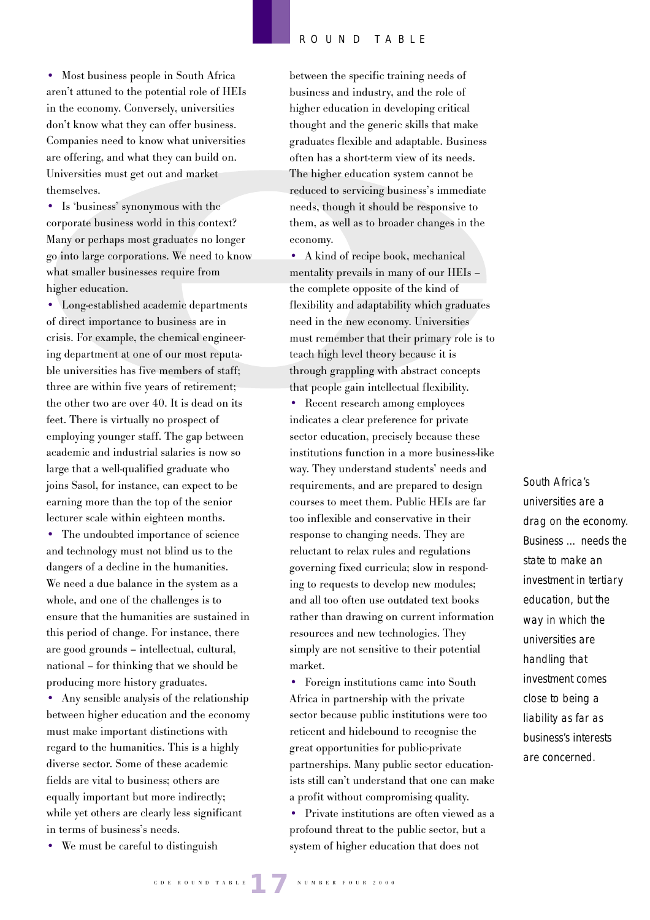• Most business people in South Africa aren't attuned to the potential role of HEIs in the economy. Conversely, universities don't know what they can offer business. Companies need to know what universities are offering, and what they can build on. Universities must get out and market themselves.

• Is 'business' synonymous with the corporate business world in this context? Many or perhaps most graduates no longer go into large corporations. We need to know what smaller businesses require from higher education.

• Long-established academic departments of direct importance to business are in crisis. For example, the chemical engineering department at one of our most reputable universities has five members of staff; three are within five years of retirement; the other two are over 40. It is dead on its feet. There is virtually no prospect of employing younger staff. The gap between academic and industrial salaries is now so large that a well-qualified graduate who joins Sasol, for instance, can expect to be earning more than the top of the senior lecturer scale within eighteen months.

• The undoubted importance of science and technology must not blind us to the dangers of a decline in the humanities. We need a due balance in the system as a whole, and one of the challenges is to ensure that the humanities are sustained in this period of change. For instance, there are good grounds – intellectual, cultural, national – for thinking that we should be producing more history graduates.

• Any sensible analysis of the relationship between higher education and the economy must make important distinctions with regard to the humanities. This is a highly diverse sector. Some of these academic fields are vital to business; others are equally important but more indirectly; while yet others are clearly less significant in terms of business's needs.

• We must be careful to distinguish

between the specific training needs of business and industry, and the role of higher education in developing critical thought and the generic skills that make graduates flexible and adaptable. Business often has a short-term view of its needs. The higher education system cannot be reduced to servicing business's immediate needs, though it should be responsive to them, as well as to broader changes in the economy.

• A kind of recipe book, mechanical mentality prevails in many of our HEIs – the complete opposite of the kind of flexibility and adaptability which graduates need in the new economy. Universities must remember that their primary role is to teach high level theory because it is through grappling with abstract concepts that people gain intellectual flexibility.

• Recent research among employees indicates a clear preference for private sector education, precisely because these institutions function in a more business-like way. They understand students' needs and requirements, and are prepared to design courses to meet them. Public HEIs are far too inflexible and conservative in their response to changing needs. They are reluctant to relax rules and regulations governing fixed curricula; slow in responding to requests to develop new modules; and all too often use outdated text books rather than drawing on current information resources and new technologies. They simply are not sensitive to their potential market.

• Foreign institutions came into South Africa in partnership with the private sector because public institutions were too reticent and hidebound to recognise the great opportunities for public-private partnerships. Many public sector educationists still can't understand that one can make a profit without compromising quality.

• Private institutions are often viewed as a profound threat to the public sector, but a system of higher education that does not

South Africa's universities are a drag on the economy. Business … needs the state to make an investment in tertiary education, but the way in which the universities are handling that investment comes close to being a liability as far as business's interests are concerned.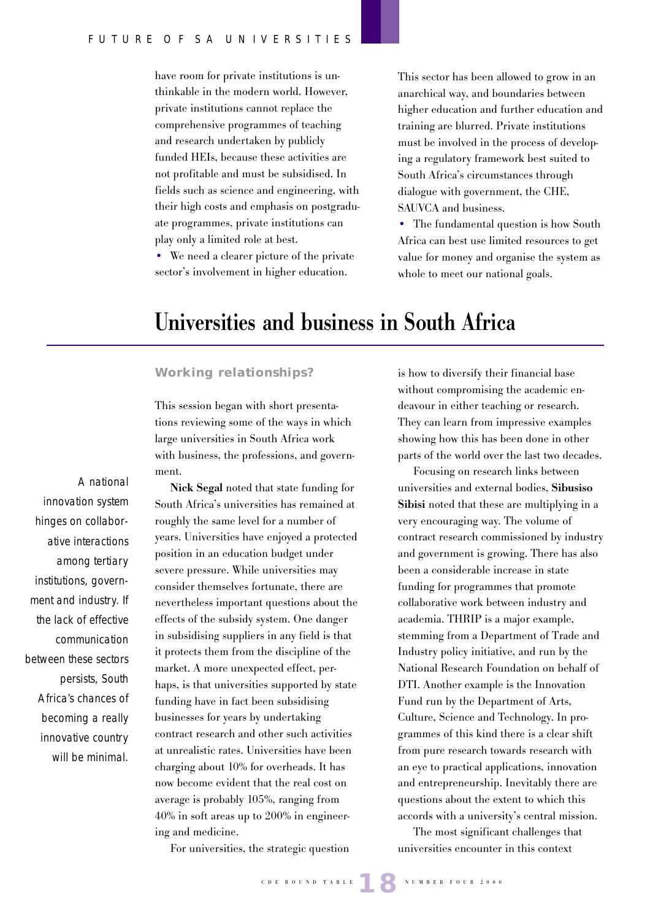have room for private institutions is unthinkable in the modern world. However, private institutions cannot replace the comprehensive programmes of teaching and research undertaken by publicly funded HEIs, because these activities are not profitable and must be subsidised. In fields such as science and engineering, with their high costs and emphasis on postgraduate programmes, private institutions can play only a limited role at best.

• We need a clearer picture of the private sector's involvement in higher education.

This sector has been allowed to grow in an anarchical way, and boundaries between higher education and further education and training are blurred. Private institutions must be involved in the process of developing a regulatory framework best suited to South Africa's circumstances through dialogue with government, the CHE, SAUVCA and business.

• The fundamental question is how South Africa can best use limited resources to get value for money and organise the system as whole to meet our national goals.

# **Universities and business in South Africa**

#### **Working relationships?**

This session began with short presentations reviewing some of the ways in which large universities in South Africa work with business, the professions, and government.

**Nick Segal** noted that state funding for South Africa's universities has remained at roughly the same level for a number of years. Universities have enjoyed a protected position in an education budget under severe pressure. While universities may consider themselves fortunate, there are nevertheless important questions about the effects of the subsidy system. One danger in subsidising suppliers in any field is that it protects them from the discipline of the market. A more unexpected effect, perhaps, is that universities supported by state funding have in fact been subsidising businesses for years by undertaking contract research and other such activities at unrealistic rates. Universities have been charging about 10% for overheads. It has now become evident that the real cost on average is probably 105%, ranging from 40% in soft areas up to 200% in engineering and medicine.

For universities, the strategic question

is how to diversify their financial base without compromising the academic endeavour in either teaching or research. They can learn from impressive examples showing how this has been done in other parts of the world over the last two decades.

Focusing on research links between universities and external bodies, **Sibusiso Sibisi** noted that these are multiplying in a very encouraging way. The volume of contract research commissioned by industry and government is growing. There has also been a considerable increase in state funding for programmes that promote collaborative work between industry and academia. THRIP is a major example, stemming from a Department of Trade and Industry policy initiative, and run by the National Research Foundation on behalf of DTI. Another example is the Innovation Fund run by the Department of Arts, Culture, Science and Technology. In programmes of this kind there is a clear shift from pure research towards research with an eye to practical applications, innovation and entrepreneurship. Inevitably there are questions about the extent to which this accords with a university's central mission.

The most significant challenges that universities encounter in this context

A national innovation system hinges on collaborative interactions among tertiary institutions, government and industry. If the lack of effective communication between these sectors persists, South Africa's chances of becoming a really innovative country will be minimal.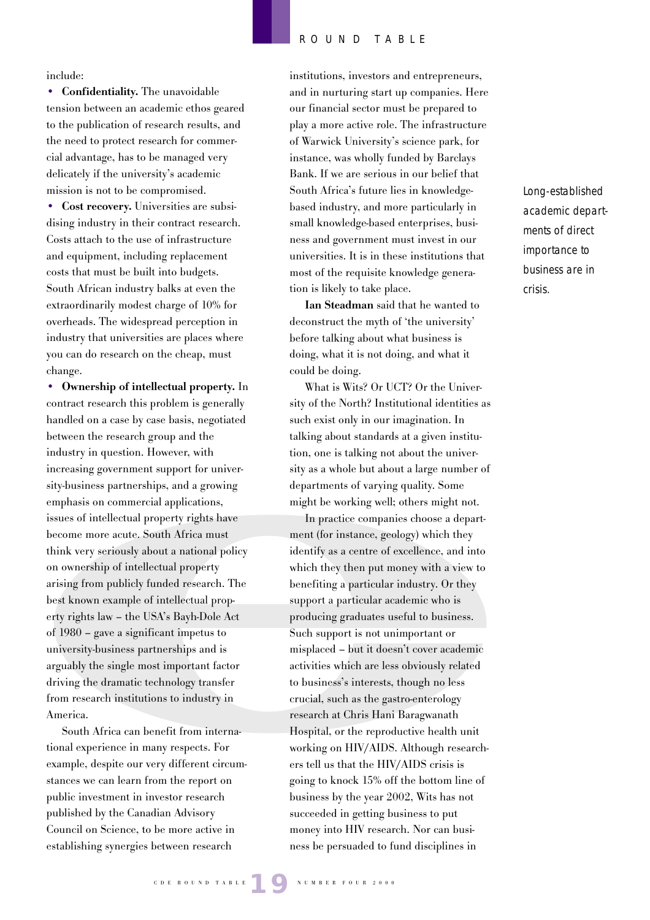include:

**• Confidentiality.** The unavoidable tension between an academic ethos geared to the publication of research results, and the need to protect research for commercial advantage, has to be managed very delicately if the university's academic mission is not to be compromised.

**• Cost recovery.** Universities are subsidising industry in their contract research. Costs attach to the use of infrastructure and equipment, including replacement costs that must be built into budgets. South African industry balks at even the extraordinarily modest charge of 10% for overheads. The widespread perception in industry that universities are places where you can do research on the cheap, must change.

**• Ownership of intellectual property.** In contract research this problem is generally handled on a case by case basis, negotiated between the research group and the industry in question. However, with increasing government support for university-business partnerships, and a growing emphasis on commercial applications, issues of intellectual property rights have become more acute. South Africa must think very seriously about a national policy on ownership of intellectual property arising from publicly funded research. The best known example of intellectual property rights law – the USA's Bayh-Dole Act of 1980 – gave a significant impetus to university-business partnerships and is arguably the single most important factor driving the dramatic technology transfer from research institutions to industry in America.

South Africa can benefit from international experience in many respects. For example, despite our very different circumstances we can learn from the report on public investment in investor research published by the Canadian Advisory Council on Science, to be more active in establishing synergies between research

institutions, investors and entrepreneurs, and in nurturing start up companies. Here our financial sector must be prepared to play a more active role. The infrastructure of Warwick University's science park, for instance, was wholly funded by Barclays Bank. If we are serious in our belief that South Africa's future lies in knowledgebased industry, and more particularly in small knowledge-based enterprises, business and government must invest in our universities. It is in these institutions that most of the requisite knowledge generation is likely to take place.

**Ian Steadman** said that he wanted to deconstruct the myth of 'the university' before talking about what business is doing, what it is not doing, and what it could be doing.

What is Wits? Or UCT? Or the University of the North? Institutional identities as such exist only in our imagination. In talking about standards at a given institution, one is talking not about the university as a whole but about a large number of departments of varying quality. Some might be working well; others might not.

In practice companies choose a department (for instance, geology) which they identify as a centre of excellence, and into which they then put money with a view to benefiting a particular industry. Or they support a particular academic who is producing graduates useful to business. Such support is not unimportant or misplaced – but it doesn't cover academic activities which are less obviously related to business's interests, though no less crucial, such as the gastro-enterology research at Chris Hani Baragwanath Hospital, or the reproductive health unit working on HIV/AIDS. Although researchers tell us that the HIV/AIDS crisis is going to knock 15% off the bottom line of business by the year 2002, Wits has not succeeded in getting business to put money into HIV research. Nor can business be persuaded to fund disciplines in

Long-established academic departments of direct importance to business are in crisis.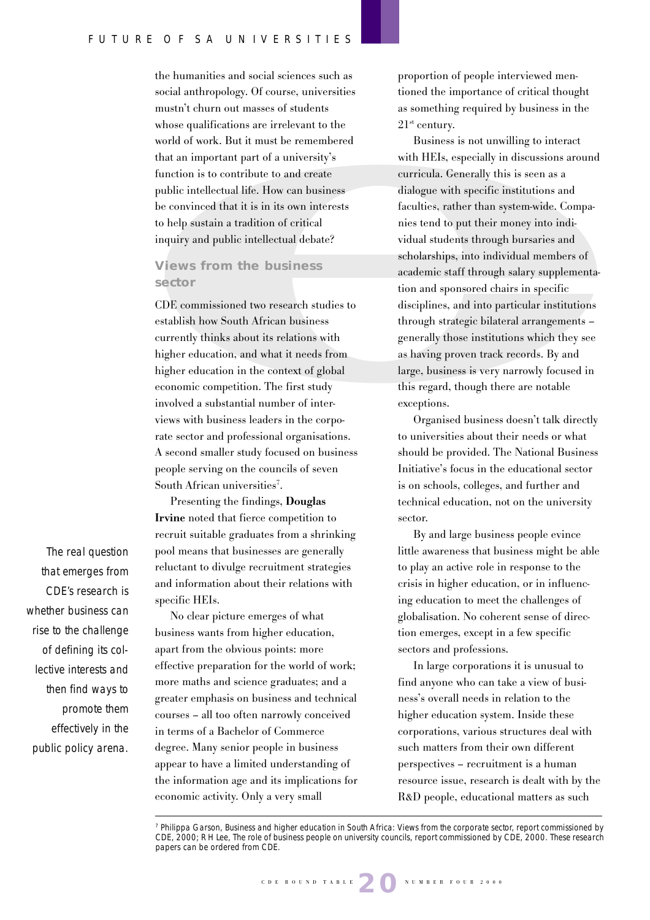the humanities and social sciences such as social anthropology. Of course, universities mustn't churn out masses of students whose qualifications are irrelevant to the world of work. But it must be remembered that an important part of a university's function is to contribute to and create public intellectual life. How can business be convinced that it is in its own interests to help sustain a tradition of critical inquiry and public intellectual debate?

### **Views from the business sector**

CDE commissioned two research studies to establish how South African business currently thinks about its relations with higher education, and what it needs from higher education in the context of global economic competition. The first study involved a substantial number of interviews with business leaders in the corporate sector and professional organisations. A second smaller study focused on business people serving on the councils of seven South African universities<sup>7</sup>.

Presenting the findings, **Douglas Irvine** noted that fierce competition to recruit suitable graduates from a shrinking pool means that businesses are generally reluctant to divulge recruitment strategies and information about their relations with specific HEIs.

No clear picture emerges of what business wants from higher education, apart from the obvious points: more effective preparation for the world of work; more maths and science graduates; and a greater emphasis on business and technical courses – all too often narrowly conceived in terms of a Bachelor of Commerce degree. Many senior people in business appear to have a limited understanding of the information age and its implications for economic activity. Only a very small

proportion of people interviewed mentioned the importance of critical thought as something required by business in the  $21<sup>st</sup>$  century.

Business is not unwilling to interact with HEIs, especially in discussions around curricula. Generally this is seen as a dialogue with specific institutions and faculties, rather than system-wide. Companies tend to put their money into individual students through bursaries and scholarships, into individual members of academic staff through salary supplementation and sponsored chairs in specific disciplines, and into particular institutions through strategic bilateral arrangements – generally those institutions which they see as having proven track records. By and large, business is very narrowly focused in this regard, though there are notable exceptions.

Organised business doesn't talk directly to universities about their needs or what should be provided. The National Business Initiative's focus in the educational sector is on schools, colleges, and further and technical education, not on the university sector.

By and large business people evince little awareness that business might be able to play an active role in response to the crisis in higher education, or in influencing education to meet the challenges of globalisation. No coherent sense of direction emerges, except in a few specific sectors and professions.

In large corporations it is unusual to find anyone who can take a view of business's overall needs in relation to the higher education system. Inside these corporations, various structures deal with such matters from their own different perspectives – recruitment is a human resource issue, research is dealt with by the R&D people, educational matters as such

The real question that emerges from CDE's research is whether business can rise to the challenge of defining its collective interests and then find ways to promote them effectively in the public policy arena.

<sup>7</sup> Philippa Garson, Business and higher education in South Africa: Views from the corporate sector, report commissioned by CDE, 2000; R H Lee, The role of business people on university councils, report commissioned by CDE, 2000. These research papers can be ordered from CDE.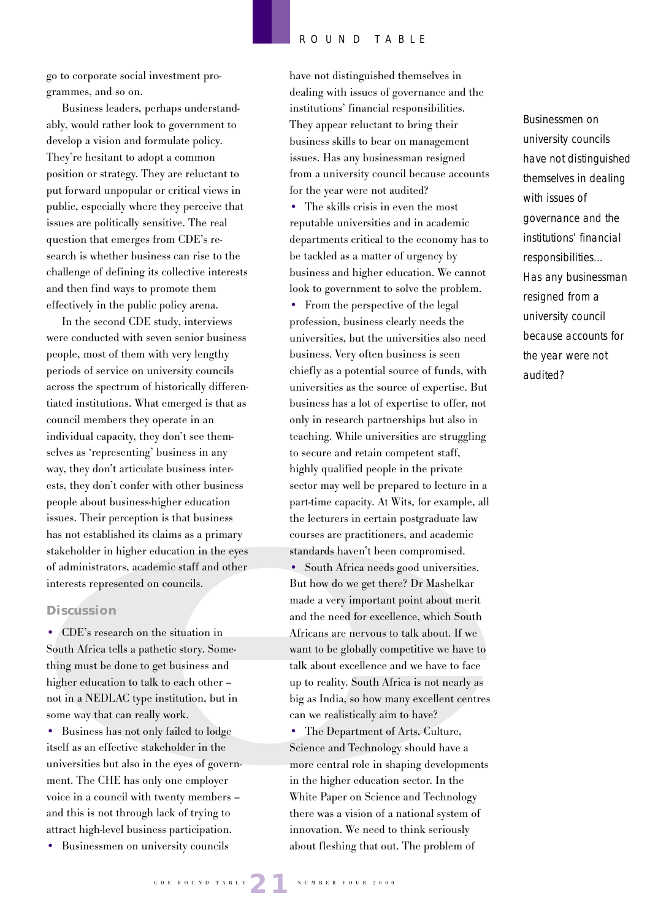go to corporate social investment programmes, and so on.

Business leaders, perhaps understandably, would rather look to government to develop a vision and formulate policy. They're hesitant to adopt a common position or strategy. They are reluctant to put forward unpopular or critical views in public, especially where they perceive that issues are politically sensitive. The real question that emerges from CDE's research is whether business can rise to the challenge of defining its collective interests and then find ways to promote them effectively in the public policy arena.

In the second CDE study, interviews were conducted with seven senior business people, most of them with very lengthy periods of service on university councils across the spectrum of historically differentiated institutions. What emerged is that as council members they operate in an individual capacity, they don't see themselves as 'representing' business in any way, they don't articulate business interests, they don't confer with other business people about business-higher education issues. Their perception is that business has not established its claims as a primary stakeholder in higher education in the eyes of administrators, academic staff and other interests represented on councils.

#### **Discussion**

**•** CDE's research on the situation in South Africa tells a pathetic story. Something must be done to get business and higher education to talk to each other – not in a NEDLAC type institution, but in some way that can really work.

**•** Business has not only failed to lodge itself as an effective stakeholder in the universities but also in the eyes of government. The CHE has only one employer voice in a council with twenty members – and this is not through lack of trying to attract high-level business participation.

**•** Businessmen on university councils

have not distinguished themselves in dealing with issues of governance and the institutions' financial responsibilities. They appear reluctant to bring their business skills to bear on management issues. Has any businessman resigned from a university council because accounts for the year were not audited? **•** The skills crisis in even the most reputable universities and in academic departments critical to the economy has to be tackled as a matter of urgency by business and higher education. We cannot look to government to solve the problem.

• From the perspective of the legal profession, business clearly needs the universities, but the universities also need business. Very often business is seen chiefly as a potential source of funds, with universities as the source of expertise. But business has a lot of expertise to offer, not only in research partnerships but also in teaching. While universities are struggling to secure and retain competent staff, highly qualified people in the private sector may well be prepared to lecture in a part-time capacity. At Wits, for example, all the lecturers in certain postgraduate law courses are practitioners, and academic standards haven't been compromised. **•** South Africa needs good universities. But how do we get there? Dr Mashelkar made a very important point about merit and the need for excellence, which South

Africans are nervous to talk about. If we want to be globally competitive we have to talk about excellence and we have to face up to reality. South Africa is not nearly as big as India, so how many excellent centres can we realistically aim to have?

**•** The Department of Arts, Culture, Science and Technology should have a more central role in shaping developments in the higher education sector. In the White Paper on Science and Technology there was a vision of a national system of innovation. We need to think seriously about fleshing that out. The problem of

Businessmen on university councils have not distinguished themselves in dealing with issues of governance and the institutions' financial responsibilities… Has any businessman resigned from a university council because accounts for the year were not audited?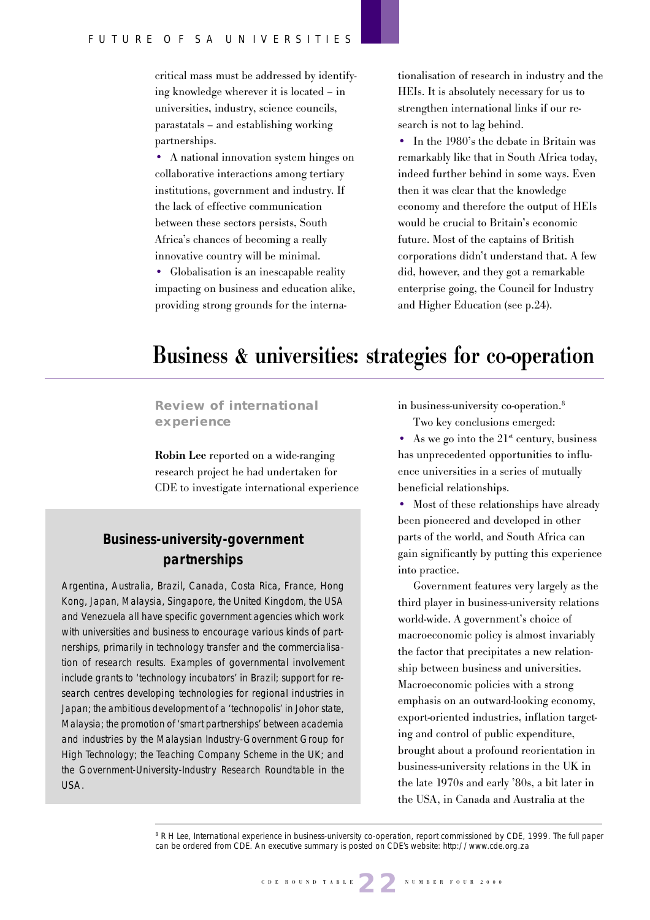critical mass must be addressed by identifying knowledge wherever it is located – in universities, industry, science councils, parastatals – and establishing working partnerships.

• A national innovation system hinges on collaborative interactions among tertiary institutions, government and industry. If the lack of effective communication between these sectors persists, South Africa's chances of becoming a really innovative country will be minimal.

**•** Globalisation is an inescapable reality impacting on business and education alike, providing strong grounds for the internationalisation of research in industry and the HEIs. It is absolutely necessary for us to strengthen international links if our research is not to lag behind.

**•** In the 1980's the debate in Britain was remarkably like that in South Africa today, indeed further behind in some ways. Even then it was clear that the knowledge economy and therefore the output of HEIs would be crucial to Britain's economic future. Most of the captains of British corporations didn't understand that. A few did, however, and they got a remarkable enterprise going, the Council for Industry and Higher Education (see p.24).

# **Business & universities: strategies for co-operation**

**Review of international experience**

**Robin Lee** reported on a wide-ranging research project he had undertaken for CDE to investigate international experience

# **Business-university-government partnerships**

Argentina, Australia, Brazil, Canada, Costa Rica, France, Hong Kong, Japan, Malaysia, Singapore, the United Kingdom, the USA and Venezuela all have specific government agencies which work with universities and business to encourage various kinds of partnerships, primarily in technology transfer and the commercialisation of research results. Examples of governmental involvement include grants to 'technology incubators' in Brazil; support for research centres developing technologies for regional industries in Japan; the ambitious development of a 'technopolis' in Johor state, Malaysia; the promotion of 'smart partnerships' between academia and industries by the Malaysian Industry-Government Group for High Technology; the Teaching Company Scheme in the UK; and the Government-University-Industry Research Roundtable in the USA.

in business-university co-operation.8 Two key conclusions emerged:

• As we go into the  $21^{st}$  century, business has unprecedented opportunities to influence universities in a series of mutually beneficial relationships.

• Most of these relationships have already been pioneered and developed in other parts of the world, and South Africa can gain significantly by putting this experience into practice.

Government features very largely as the third player in business-university relations world-wide. A government's choice of macroeconomic policy is almost invariably the factor that precipitates a new relationship between business and universities. Macroeconomic policies with a strong emphasis on an outward-looking economy, export-oriented industries, inflation targeting and control of public expenditure, brought about a profound reorientation in business-university relations in the UK in the late 1970s and early '80s, a bit later in the USA, in Canada and Australia at the

<sup>8</sup> R H Lee, International experience in business-university co-operation, report commissioned by CDE, 1999. The full paper can be ordered from CDE. An executive summary is posted on CDE's website: http://www.cde.org.za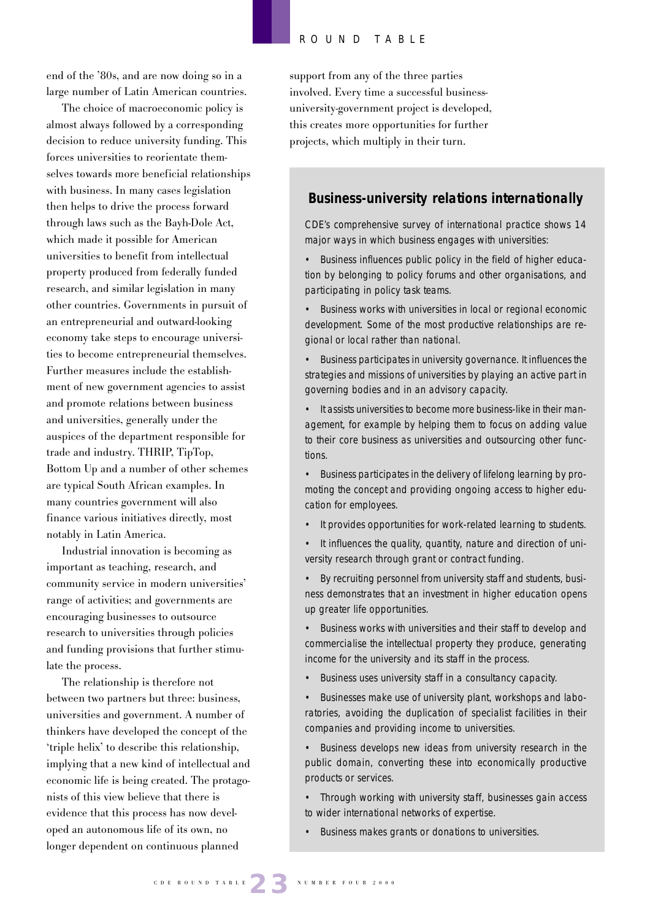end of the '80s, and are now doing so in a large number of Latin American countries.

The choice of macroeconomic policy is almost always followed by a corresponding decision to reduce university funding. This forces universities to reorientate themselves towards more beneficial relationships with business. In many cases legislation then helps to drive the process forward through laws such as the Bayh-Dole Act, which made it possible for American universities to benefit from intellectual property produced from federally funded research, and similar legislation in many other countries. Governments in pursuit of an entrepreneurial and outward-looking economy take steps to encourage universities to become entrepreneurial themselves. Further measures include the establishment of new government agencies to assist and promote relations between business and universities, generally under the auspices of the department responsible for trade and industry. THRIP, TipTop, Bottom Up and a number of other schemes are typical South African examples. In many countries government will also finance various initiatives directly, most notably in Latin America.

Industrial innovation is becoming as important as teaching, research, and community service in modern universities' range of activities; and governments are encouraging businesses to outsource research to universities through policies and funding provisions that further stimulate the process.

The relationship is therefore not between two partners but three: business, universities and government. A number of thinkers have developed the concept of the 'triple helix' to describe this relationship, implying that a new kind of intellectual and economic life is being created. The protagonists of this view believe that there is evidence that this process has now developed an autonomous life of its own, no longer dependent on continuous planned

support from any of the three parties involved. Every time a successful businessuniversity-government project is developed, this creates more opportunities for further projects, which multiply in their turn.

### **Business-university relations internationally**

CDE's comprehensive survey of international practice shows 14 major ways in which business engages with universities:

• Business influences public policy in the field of higher education by belonging to policy forums and other organisations, and participating in policy task teams.

• Business works with universities in local or regional economic development. Some of the most productive relationships are regional or local rather than national.

• Business participates in university governance. It influences the strategies and missions of universities by playing an active part in governing bodies and in an advisory capacity.

• It assists universities to become more business-like in their management, for example by helping them to focus on adding value to their core business as universities and outsourcing other functions.

• Business participates in the delivery of lifelong learning by promoting the concept and providing ongoing access to higher education for employees.

- It provides opportunities for work-related learning to students.
- It influences the quality, quantity, nature and direction of university research through grant or contract funding.

• By recruiting personnel from university staff and students, business demonstrates that an investment in higher education opens up greater life opportunities.

• Business works with universities and their staff to develop and commercialise the intellectual property they produce, generating income for the university and its staff in the process.

• Business uses university staff in a consultancy capacity.

• Businesses make use of university plant, workshops and laboratories, avoiding the duplication of specialist facilities in their companies and providing income to universities.

Business develops new ideas from university research in the public domain, converting these into economically productive products or services.

• Through working with university staff, businesses gain access to wider international networks of expertise.

• Business makes grants or donations to universities.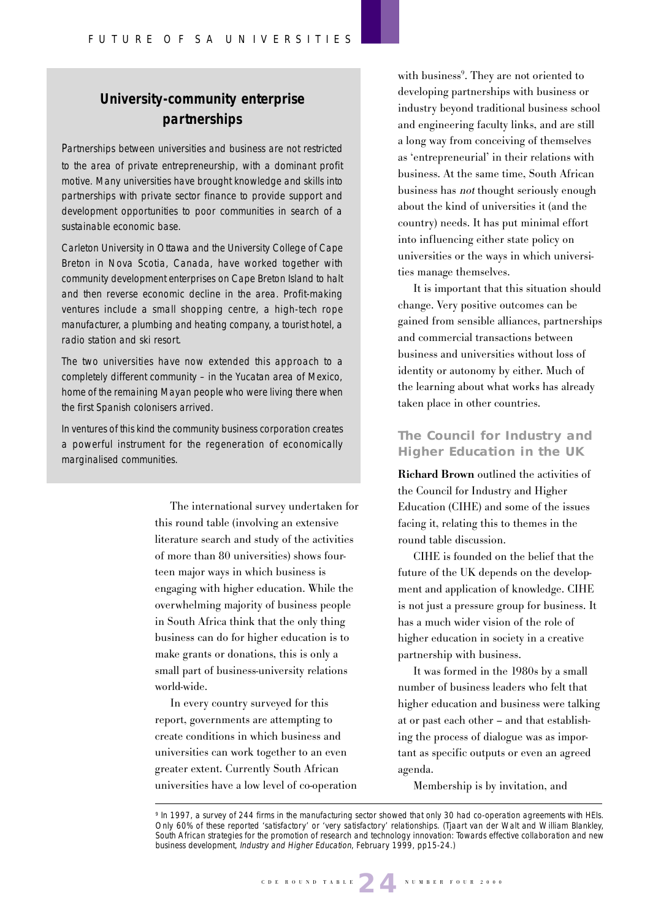# **University-community enterprise partnerships**

Pull quote here? development opportunities to poor communities in search of a Partnerships between universities and business are not restricted to the area of private entrepreneurship, with a dominant profit motive. Many universities have brought knowledge and skills into partnerships with private sector finance to provide support and sustainable economic base.

Carleton University in Ottawa and the University College of Cape Breton in Nova Scotia, Canada, have worked together with community development enterprises on Cape Breton Island to halt and then reverse economic decline in the area. Profit-making ventures include a small shopping centre, a high-tech rope manufacturer, a plumbing and heating company, a tourist hotel, a radio station and ski resort.

The two universities have now extended this approach to a completely different community – in the Yucatan area of Mexico, home of the remaining Mayan people who were living there when the first Spanish colonisers arrived.

In ventures of this kind the community business corporation creates a powerful instrument for the regeneration of economically marginalised communities.

> The international survey undertaken for this round table (involving an extensive literature search and study of the activities of more than 80 universities) shows fourteen major ways in which business is engaging with higher education. While the overwhelming majority of business people in South Africa think that the only thing business can do for higher education is to make grants or donations, this is only a small part of business-university relations world-wide.

In every country surveyed for this report, governments are attempting to create conditions in which business and universities can work together to an even greater extent. Currently South African universities have a low level of co-operation

with business<sup>9</sup>. They are not oriented to developing partnerships with business or industry beyond traditional business school and engineering faculty links, and are still a long way from conceiving of themselves as 'entrepreneurial' in their relations with business. At the same time, South African business has not thought seriously enough about the kind of universities it (and the country) needs. It has put minimal effort into influencing either state policy on universities or the ways in which universities manage themselves.

It is important that this situation should change. Very positive outcomes can be gained from sensible alliances, partnerships and commercial transactions between business and universities without loss of identity or autonomy by either. Much of the learning about what works has already taken place in other countries.

### **The Council for Industry and Higher Education in the UK**

**Richard Brown** outlined the activities of the Council for Industry and Higher Education (CIHE) and some of the issues facing it, relating this to themes in the round table discussion.

CIHE is founded on the belief that the future of the UK depends on the development and application of knowledge. CIHE is not just a pressure group for business. It has a much wider vision of the role of higher education in society in a creative partnership with business.

It was formed in the 1980s by a small number of business leaders who felt that higher education and business were talking at or past each other – and that establishing the process of dialogue was as important as specific outputs or even an agreed agenda.

Membership is by invitation, and

<sup>9</sup> In 1997, a survey of 244 firms in the manufacturing sector showed that only 30 had co-operation agreements with HEIs. Only 60% of these reported 'satisfactory' or 'very satisfactory' relationships. (Tjaart van der Walt and William Blankley, South African strategies for the promotion of research and technology innovation: Towards effective collaboration and new business development, Industry and Higher Education, February 1999, pp15-24.)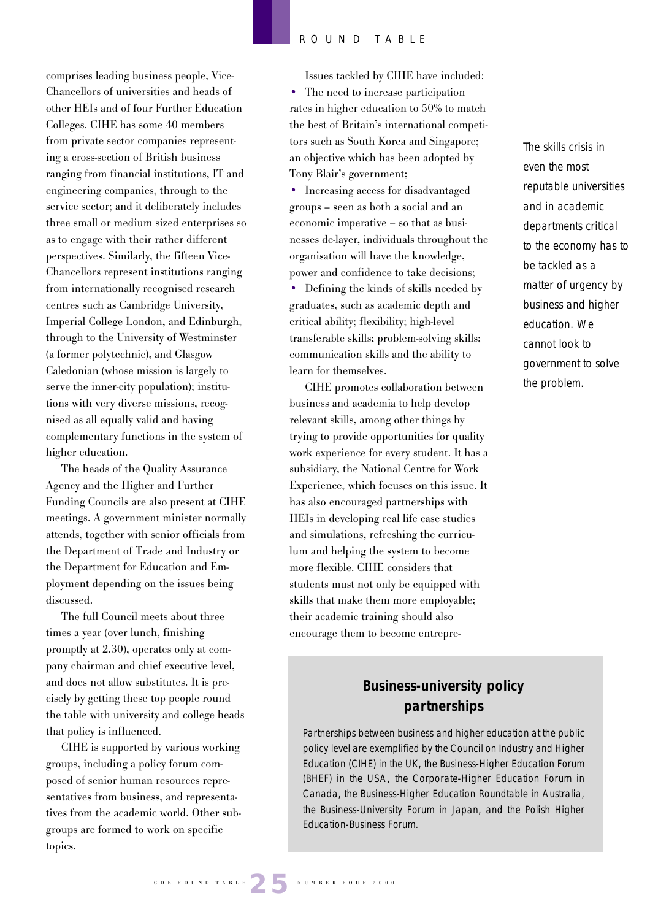comprises leading business people, Vice-Chancellors of universities and heads of other HEIs and of four Further Education Colleges. CIHE has some 40 members from private sector companies representing a cross-section of British business ranging from financial institutions, IT and engineering companies, through to the service sector; and it deliberately includes three small or medium sized enterprises so as to engage with their rather different perspectives. Similarly, the fifteen Vice-Chancellors represent institutions ranging from internationally recognised research centres such as Cambridge University, Imperial College London, and Edinburgh, through to the University of Westminster (a former polytechnic), and Glasgow Caledonian (whose mission is largely to serve the inner-city population); institutions with very diverse missions, recognised as all equally valid and having complementary functions in the system of higher education.

The heads of the Quality Assurance Agency and the Higher and Further Funding Councils are also present at CIHE meetings. A government minister normally attends, together with senior officials from the Department of Trade and Industry or the Department for Education and Employment depending on the issues being discussed.

The full Council meets about three times a year (over lunch, finishing promptly at 2.30), operates only at company chairman and chief executive level, and does not allow substitutes. It is precisely by getting these top people round the table with university and college heads that policy is influenced.

CIHE is supported by various working groups, including a policy forum composed of senior human resources representatives from business, and representatives from the academic world. Other subgroups are formed to work on specific topics.

Issues tackled by CIHE have included: • The need to increase participation rates in higher education to 50% to match the best of Britain's international competitors such as South Korea and Singapore; an objective which has been adopted by Tony Blair's government;

• Increasing access for disadvantaged groups – seen as both a social and an economic imperative – so that as businesses de-layer, individuals throughout the organisation will have the knowledge, power and confidence to take decisions;

• Defining the kinds of skills needed by graduates, such as academic depth and critical ability; flexibility; high-level transferable skills; problem-solving skills; communication skills and the ability to learn for themselves.

CIHE promotes collaboration between business and academia to help develop relevant skills, among other things by trying to provide opportunities for quality work experience for every student. It has a subsidiary, the National Centre for Work Experience, which focuses on this issue. It has also encouraged partnerships with HEIs in developing real life case studies and simulations, refreshing the curriculum and helping the system to become more flexible. CIHE considers that students must not only be equipped with skills that make them more employable; their academic training should also encourage them to become entrepreThe skills crisis in even the most reputable universities and in academic departments critical to the economy has to be tackled as a matter of urgency by business and higher education. We cannot look to government to solve the problem.

# **Business-university policy partnerships**

Partnerships between business and higher education at the public policy level are exemplified by the Council on Industry and Higher Education (CIHE) in the UK, the Business-Higher Education Forum (BHEF) in the USA, the Corporate-Higher Education Forum in Canada, the Business-Higher Education Roundtable in Australia, the Business-University Forum in Japan, and the Polish Higher Education-Business Forum.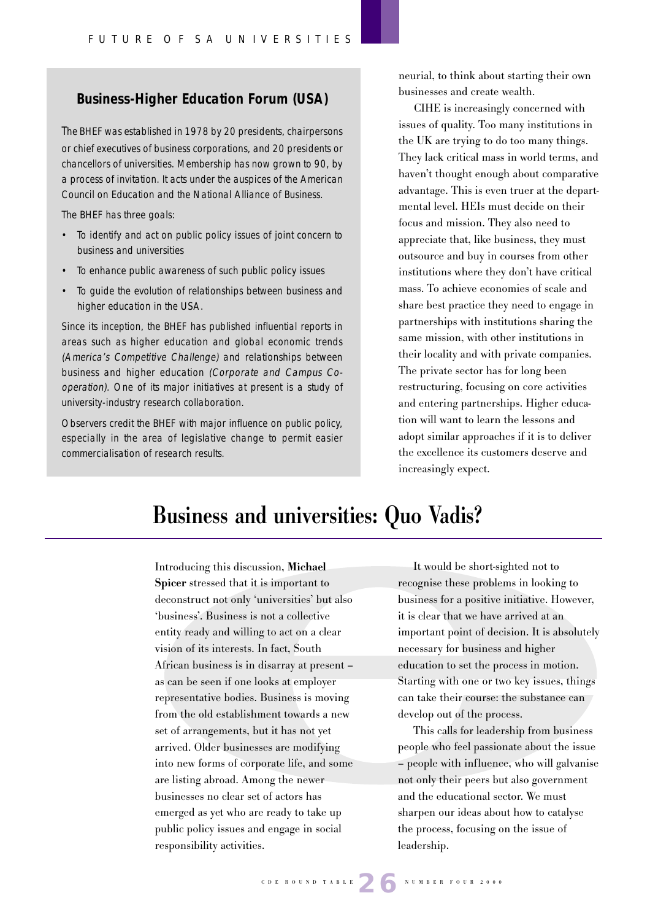### **Business-Higher Education Forum (USA)**

The BHEF was established in 1978 by 20 presidents, chairpersons or chief executives of business corporations, and 20 presidents or chancellors of universities. Membership has now grown to 90, by a process of invitation. It acts under the auspices of the American Council on Education and the National Alliance of Business.

The BHEF has three goals:

- To identify and act on public policy issues of joint concern to business and universities
- To enhance public awareness of such public policy issues
- To guide the evolution of relationships between business and higher education in the USA.

Since its inception, the BHEF has published influential reports in areas such as higher education and global economic trends (America's Competitive Challenge) and relationships between business and higher education (Corporate and Campus Cooperation). One of its major initiatives at present is a study of university-industry research collaboration.

Observers credit the BHEF with major influence on public policy, especially in the area of legislative change to permit easier commercialisation of research results.

neurial, to think about starting their own businesses and create wealth.

CIHE is increasingly concerned with issues of quality. Too many institutions in the UK are trying to do too many things. They lack critical mass in world terms, and haven't thought enough about comparative advantage. This is even truer at the departmental level. HEIs must decide on their focus and mission. They also need to appreciate that, like business, they must outsource and buy in courses from other institutions where they don't have critical mass. To achieve economies of scale and share best practice they need to engage in partnerships with institutions sharing the same mission, with other institutions in their locality and with private companies. The private sector has for long been restructuring, focusing on core activities and entering partnerships. Higher education will want to learn the lessons and adopt similar approaches if it is to deliver the excellence its customers deserve and increasingly expect.

# **Business and universities: Quo Vadis?**

Introducing this discussion, **Michael Spicer** stressed that it is important to deconstruct not only 'universities' but also 'business'. Business is not a collective entity ready and willing to act on a clear vision of its interests. In fact, South African business is in disarray at present – as can be seen if one looks at employer representative bodies. Business is moving from the old establishment towards a new set of arrangements, but it has not yet arrived. Older businesses are modifying into new forms of corporate life, and some are listing abroad. Among the newer businesses no clear set of actors has emerged as yet who are ready to take up public policy issues and engage in social responsibility activities.

It would be short-sighted not to recognise these problems in looking to business for a positive initiative. However, it is clear that we have arrived at an important point of decision. It is absolutely necessary for business and higher education to set the process in motion. Starting with one or two key issues, things can take their course: the substance can develop out of the process.

This calls for leadership from business people who feel passionate about the issue – people with influence, who will galvanise not only their peers but also government and the educational sector. We must sharpen our ideas about how to catalyse the process, focusing on the issue of leadership.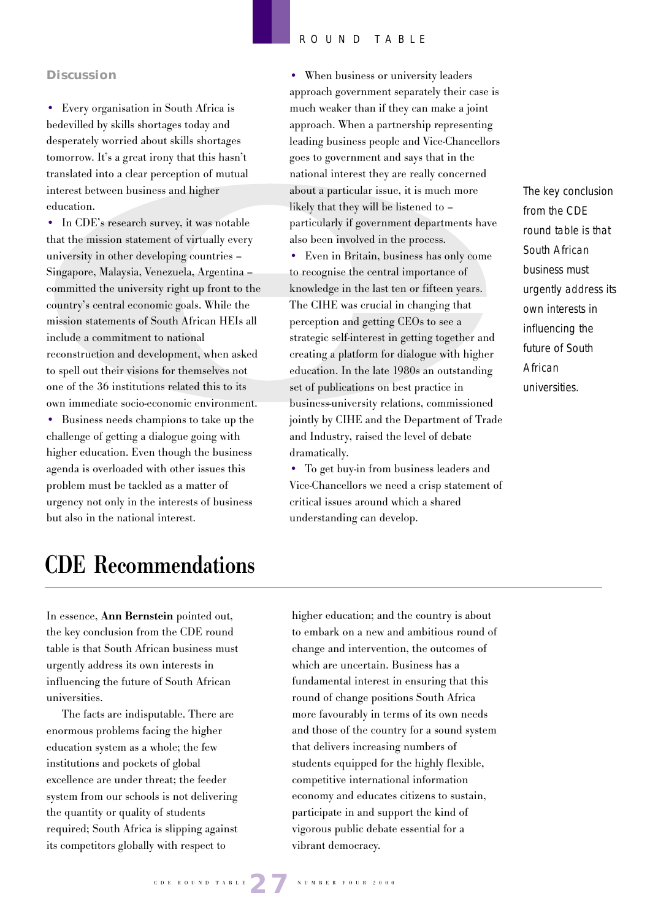#### **Discussion**

• Every organisation in South Africa is bedevilled by skills shortages today and desperately worried about skills shortages tomorrow. It's a great irony that this hasn't translated into a clear perception of mutual interest between business and higher education.

• In CDE's research survey, it was notable that the mission statement of virtually every university in other developing countries – Singapore, Malaysia, Venezuela, Argentina – committed the university right up front to the country's central economic goals. While the mission statements of South African HEIs all include a commitment to national reconstruction and development, when asked to spell out their visions for themselves not one of the 36 institutions related this to its own immediate socio-economic environment.

• Business needs champions to take up the challenge of getting a dialogue going with higher education. Even though the business agenda is overloaded with other issues this problem must be tackled as a matter of urgency not only in the interests of business but also in the national interest.

# • When business or university leaders approach government separately their case is much weaker than if they can make a joint approach. When a partnership representing leading business people and Vice-Chancellors goes to government and says that in the national interest they are really concerned about a particular issue, it is much more likely that they will be listened to – particularly if government departments have also been involved in the process.

• Even in Britain, business has only come to recognise the central importance of knowledge in the last ten or fifteen years. The CIHE was crucial in changing that perception and getting CEOs to see a strategic self-interest in getting together and creating a platform for dialogue with higher education. In the late 1980s an outstanding set of publications on best practice in business-university relations, commissioned jointly by CIHE and the Department of Trade and Industry, raised the level of debate dramatically.

• To get buy-in from business leaders and Vice-Chancellors we need a crisp statement of critical issues around which a shared understanding can develop.

The key conclusion from the CDE round table is that South African business must urgently address its own interests in influencing the future of South African universities.

# **CDE Recommendations**

In essence, **Ann Bernstein** pointed out, the key conclusion from the CDE round table is that South African business must urgently address its own interests in influencing the future of South African universities.

The facts are indisputable. There are enormous problems facing the higher education system as a whole; the few institutions and pockets of global excellence are under threat; the feeder system from our schools is not delivering the quantity or quality of students required; South Africa is slipping against its competitors globally with respect to

higher education; and the country is about to embark on a new and ambitious round of change and intervention, the outcomes of which are uncertain. Business has a fundamental interest in ensuring that this round of change positions South Africa more favourably in terms of its own needs and those of the country for a sound system that delivers increasing numbers of students equipped for the highly flexible, competitive international information economy and educates citizens to sustain, participate in and support the kind of vigorous public debate essential for a vibrant democracy.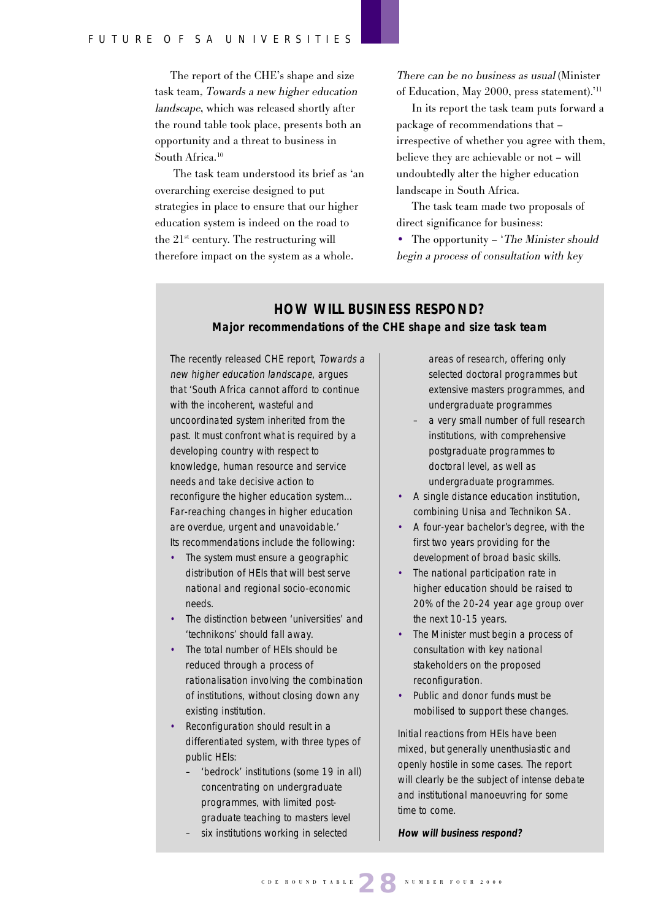The report of the CHE's shape and size task team, Towards a new higher education landscape, which was released shortly after the round table took place, presents both an opportunity and a threat to business in South Africa.<sup>10</sup>

 The task team understood its brief as 'an overarching exercise designed to put strategies in place to ensure that our higher education system is indeed on the road to the  $21<sup>st</sup>$  century. The restructuring will therefore impact on the system as a whole.

There can be no business as usual (Minister of Education, May 2000, press statement).'11

In its report the task team puts forward a package of recommendations that – irrespective of whether you agree with them, believe they are achievable or not – will undoubtedly alter the higher education landscape in South Africa.

The task team made two proposals of direct significance for business:

• The opportunity – 'The Minister should' begin a process of consultation with key

# **HOW WILL BUSINESS RESPOND? Major recommendations of the CHE shape and size task team**

The recently released CHE report, Towards a new higher education landscape, argues that 'South Africa cannot afford to continue with the incoherent, wasteful and uncoordinated system inherited from the past. It must confront what is required by a developing country with respect to knowledge, human resource and service needs and take decisive action to reconfigure the higher education system… Far-reaching changes in higher education are overdue, urgent and unavoidable.' Its recommendations include the following:

- The system must ensure a geographic distribution of HEIs that will best serve national and regional socio-economic needs.
- The distinction between 'universities' and 'technikons' should fall away.
- The total number of HEIs should be reduced through a process of rationalisation involving the combination of institutions, without closing down any existing institution.
- Reconfiguration should result in a differentiated system, with three types of public HEIs:
	- 'bedrock' institutions (some 19 in all) concentrating on undergraduate programmes, with limited postgraduate teaching to masters level
	- six institutions working in selected

areas of research, offering only selected doctoral programmes but extensive masters programmes, and undergraduate programmes

- a very small number of full research institutions, with comprehensive postgraduate programmes to doctoral level, as well as undergraduate programmes.
- A single distance education institution, combining Unisa and Technikon SA.
- A four-year bachelor's degree, with the first two years providing for the development of broad basic skills.
- The national participation rate in higher education should be raised to 20% of the 20-24 year age group over the next 10-15 years.
- The Minister must begin a process of consultation with key national stakeholders on the proposed reconfiguration.
- Public and donor funds must be mobilised to support these changes.

Initial reactions from HEIs have been mixed, but generally unenthusiastic and openly hostile in some cases. The report will clearly be the subject of intense debate and institutional manoeuvring for some time to come.

**How will business respond?**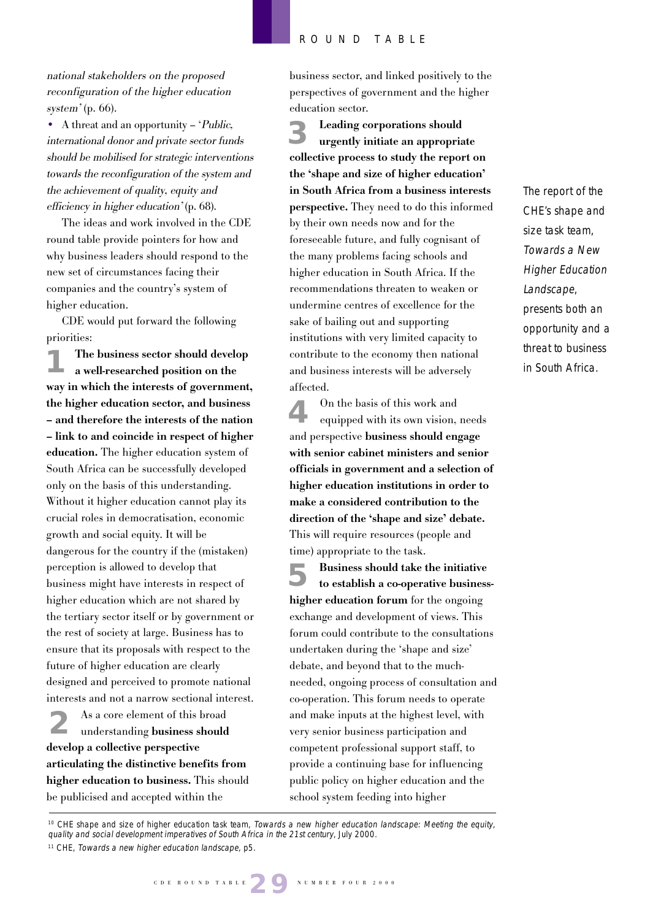national stakeholders on the proposed reconfiguration of the higher education system' (p. 66).

• A threat and an opportunity – *Public*, international donor and private sector funds should be mobilised for strategic interventions towards the reconfiguration of the system and the achievement of quality, equity and efficiency in higher education' (p. 68).

The ideas and work involved in the CDE round table provide pointers for how and why business leaders should respond to the new set of circumstances facing their companies and the country's system of higher education.

CDE would put forward the following priorities:

**The business sector should develop a well-researched position on the way in which the interests of government, the higher education sector, and business – and therefore the interests of the nation – link to and coincide in respect of higher education.** The higher education system of South Africa can be successfully developed only on the basis of this understanding. Without it higher education cannot play its crucial roles in democratisation, economic growth and social equity. It will be dangerous for the country if the (mistaken) perception is allowed to develop that business might have interests in respect of higher education which are not shared by the tertiary sector itself or by government or the rest of society at large. Business has to ensure that its proposals with respect to the future of higher education are clearly designed and perceived to promote national interests and not a narrow sectional interest. **1**

As a core element of this broad understanding **business should 2 develop a collective perspective articulating the distinctive benefits from higher education to business.** This should be publicised and accepted within the

business sector, and linked positively to the perspectives of government and the higher education sector.

**Leading corporations should urgently initiate an appropriate collective process to study the report on the 'shape and size of higher education' in South Africa from a business interests perspective.** They need to do this informed by their own needs now and for the foreseeable future, and fully cognisant of the many problems facing schools and higher education in South Africa. If the recommendations threaten to weaken or undermine centres of excellence for the sake of bailing out and supporting institutions with very limited capacity to contribute to the economy then national and business interests will be adversely affected. **3**

On the basis of this work and equipped with its own vision, needs and perspective **business should engage with senior cabinet ministers and senior officials in government and a selection of higher education institutions in order to make a considered contribution to the direction of the 'shape and size' debate.** This will require resources (people and time) appropriate to the task. **4**

**Business should take the initiative to establish a co-operative businesshigher education forum** for the ongoing exchange and development of views. This forum could contribute to the consultations undertaken during the 'shape and size' debate, and beyond that to the muchneeded, ongoing process of consultation and co-operation. This forum needs to operate and make inputs at the highest level, with very senior business participation and competent professional support staff, to provide a continuing base for influencing public policy on higher education and the school system feeding into higher **5**

The report of the CHE's shape and size task team, Towards a New Higher Education Landscape, presents both an opportunity and a threat to business in South Africa.

<sup>&</sup>lt;sup>10</sup> CHE shape and size of higher education task team, Towards a new higher education landscape: Meeting the equity, quality and social development imperatives of South Africa in the 21st century, July 2000.

<sup>&</sup>lt;sup>11</sup> CHE, Towards a new higher education landscape, p5.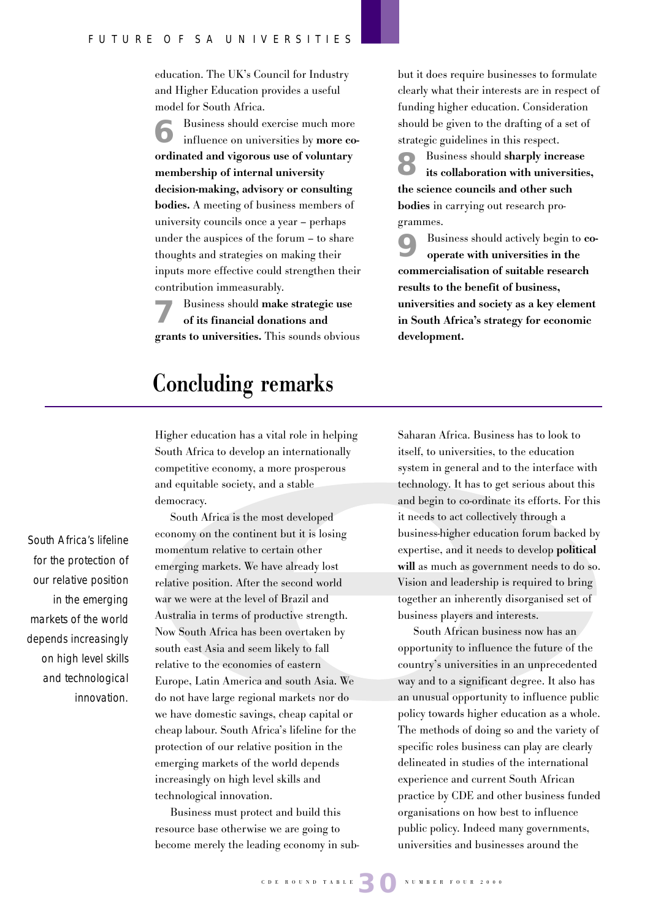education. The UK's Council for Industry and Higher Education provides a useful model for South Africa.

Business should exercise much more influence on universities by **more coordinated and vigorous use of voluntary membership of internal university decision-making, advisory or consulting bodies.** A meeting of business members of university councils once a year – perhaps under the auspices of the forum – to share thoughts and strategies on making their inputs more effective could strengthen their contribution immeasurably. **6**

Business should **make strategic use of its financial donations and grants to universities.** This sounds obvious **7**

# **Concluding remarks**

Higher education has a vital role in helping South Africa to develop an internationally competitive economy, a more prosperous and equitable society, and a stable democracy.

South Africa is the most developed economy on the continent but it is losing momentum relative to certain other emerging markets. We have already lost relative position. After the second world war we were at the level of Brazil and Australia in terms of productive strength. Now South Africa has been overtaken by south east Asia and seem likely to fall relative to the economies of eastern Europe, Latin America and south Asia. We do not have large regional markets nor do we have domestic savings, cheap capital or cheap labour. South Africa's lifeline for the protection of our relative position in the emerging markets of the world depends increasingly on high level skills and technological innovation.

Business must protect and build this resource base otherwise we are going to become merely the leading economy in subbut it does require businesses to formulate clearly what their interests are in respect of funding higher education. Consideration should be given to the drafting of a set of strategic guidelines in this respect.

Business should **sharply increase its collaboration with universities, the science councils and other such bodies** in carrying out research programmes. **8**

Business should actively begin to **cooperate with universities in the commercialisation of suitable research results to the benefit of business, universities and society as a key element in South Africa's strategy for economic development. 9**

Saharan Africa. Business has to look to itself, to universities, to the education system in general and to the interface with technology. It has to get serious about this and begin to co-ordinate its efforts. For this it needs to act collectively through a business-higher education forum backed by expertise, and it needs to develop **political will** as much as government needs to do so. Vision and leadership is required to bring together an inherently disorganised set of business players and interests.

South African business now has an opportunity to influence the future of the country's universities in an unprecedented way and to a significant degree. It also has an unusual opportunity to influence public policy towards higher education as a whole. The methods of doing so and the variety of specific roles business can play are clearly delineated in studies of the international experience and current South African practice by CDE and other business funded organisations on how best to influence public policy. Indeed many governments, universities and businesses around the

South Africa's lifeline for the protection of our relative position in the emerging markets of the world depends increasingly on high level skills and technological innovation.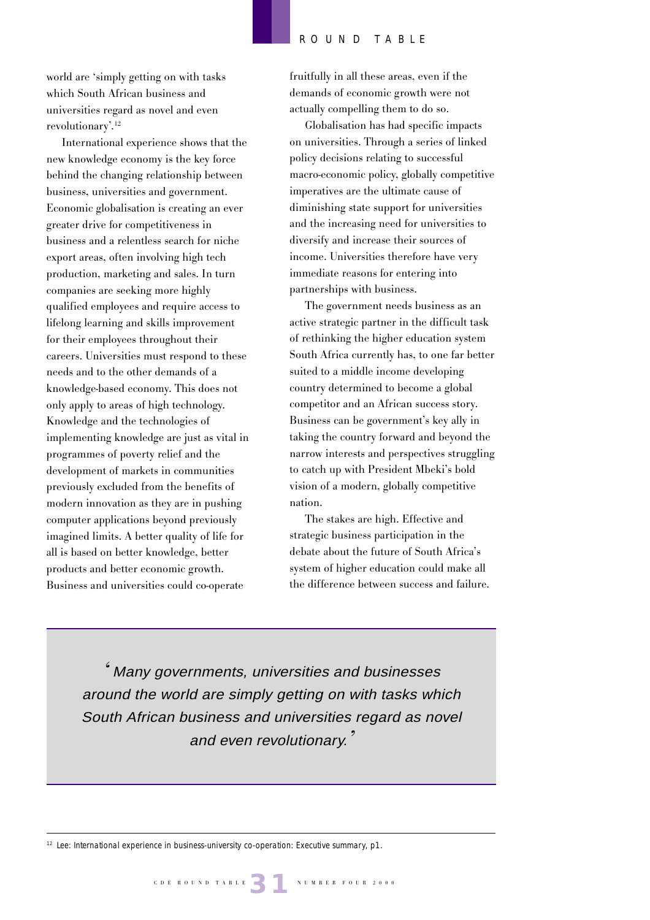world are 'simply getting on with tasks which South African business and universities regard as novel and even revolutionary'.12

International experience shows that the new knowledge economy is the key force behind the changing relationship between business, universities and government. Economic globalisation is creating an ever greater drive for competitiveness in business and a relentless search for niche export areas, often involving high tech production, marketing and sales. In turn companies are seeking more highly qualified employees and require access to lifelong learning and skills improvement for their employees throughout their careers. Universities must respond to these needs and to the other demands of a knowledge-based economy. This does not only apply to areas of high technology. Knowledge and the technologies of implementing knowledge are just as vital in programmes of poverty relief and the development of markets in communities previously excluded from the benefits of modern innovation as they are in pushing computer applications beyond previously imagined limits. A better quality of life for all is based on better knowledge, better products and better economic growth. Business and universities could co-operate

fruitfully in all these areas, even if the demands of economic growth were not actually compelling them to do so.

Globalisation has had specific impacts on universities. Through a series of linked policy decisions relating to successful macro-economic policy, globally competitive imperatives are the ultimate cause of diminishing state support for universities and the increasing need for universities to diversify and increase their sources of income. Universities therefore have very immediate reasons for entering into partnerships with business.

The government needs business as an active strategic partner in the difficult task of rethinking the higher education system South Africa currently has, to one far better suited to a middle income developing country determined to become a global competitor and an African success story. Business can be government's key ally in taking the country forward and beyond the narrow interests and perspectives struggling to catch up with President Mbeki's bold vision of a modern, globally competitive nation.

The stakes are high. Effective and strategic business participation in the debate about the future of South Africa's system of higher education could make all the difference between success and failure.

' Many governments, universities and businesses around the world are simply getting on with tasks which South African business and universities regard as novel and even revolutionary.'

<sup>12</sup> Lee: International experience in business-university co-operation: Executive summary, p1.